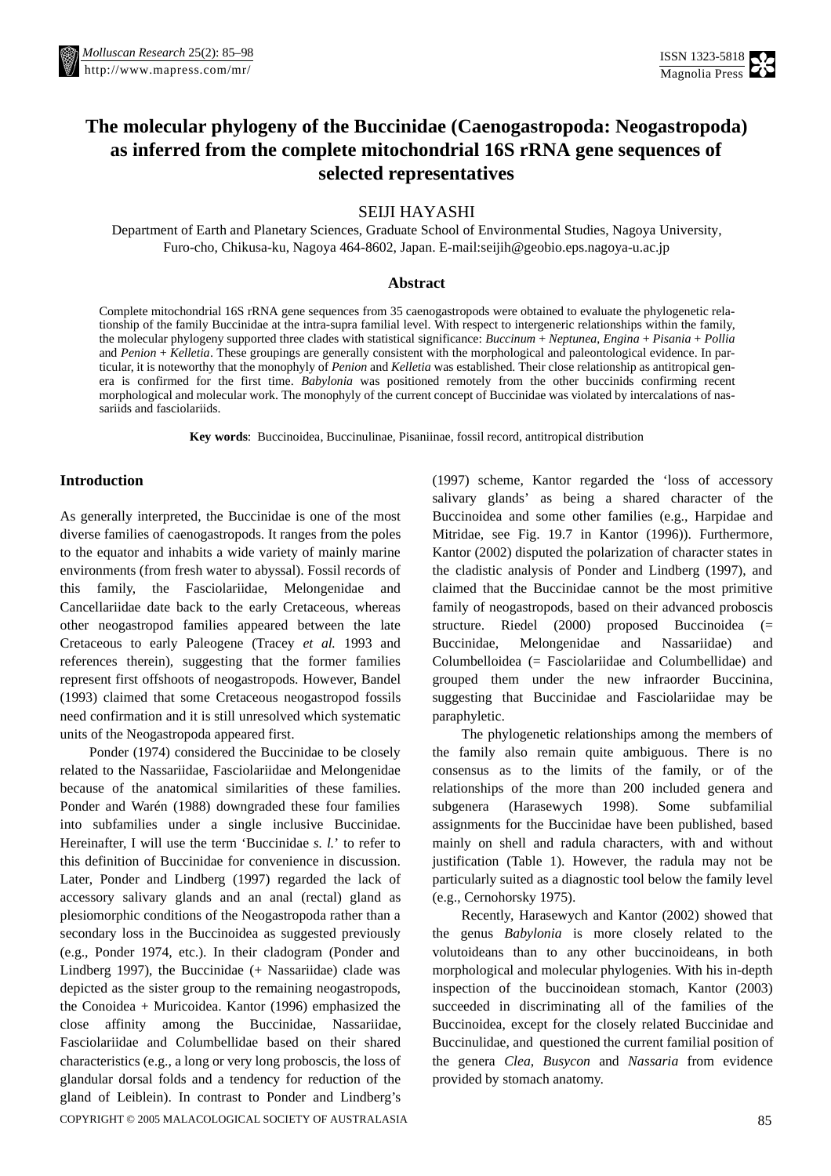

# **The molecular phylogeny of the Buccinidae (Caenogastropoda: Neogastropoda) as inferred from the complete mitochondrial 16S rRNA gene sequences of selected representatives**

SEIJI HAYASHI

Department of Earth and Planetary Sciences, Graduate School of Environmental Studies, Nagoya University, Furo-cho, Chikusa-ku, Nagoya 464-8602, Japan[. E-mail:seijih@geobio.eps.nagoya-u.ac.jp](mailto:seijih@geobio.eps.nagoya-u.ac.jp)

# **Abstract**

Complete mitochondrial 16S rRNA gene sequences from 35 caenogastropods were obtained to evaluate the phylogenetic relationship of the family Buccinidae at the intra-supra familial level. With respect to intergeneric relationships within the family, the molecular phylogeny supported three clades with statistical significance: *Buccinum* + *Neptunea*, *Engina* + *Pisania* + *Pollia* and *Penion* + *Kelletia*. These groupings are generally consistent with the morphological and paleontological evidence. In particular, it is noteworthy that the monophyly of *Penion* and *Kelletia* was established. Their close relationship as antitropical genera is confirmed for the first time. *Babylonia* was positioned remotely from the other buccinids confirming recent morphological and molecular work. The monophyly of the current concept of Buccinidae was violated by intercalations of nassariids and fasciolariids.

**Keywords**: Buccinoidea, Buccinulinae, Pisaniinae, fossil record, antitropical distribution

# **Introduction**

As generally interpreted, the Buccinidae is one of the most diverse families of caenogastropods. It ranges from the poles to the equator and inhabits a wide variety of mainly marine environments (from fresh water to abyssal). Fossil records of this family, the Fasciolariidae, Melongenidae and Cancellariidae date back to the early Cretaceous, whereas other neogastropod families appeared between the late Cretaceous to early Paleogene (Tracey *et al.* 1993 and references therein), suggesting that the former families represent first offshoots of neogastropods. However, Bandel (1993) claimed that some Cretaceous neogastropod fossils need confirmation and it is still unresolved which systematic units of the Neogastropoda appeared first.

COPYRIGHT © 2005 MALACOLOGICAL SOCIETY OF AUSTRALASIA Ponder (1974) considered the Buccinidae to be closely related to the Nassariidae, Fasciolariidae and Melongenidae because of the anatomical similarities of these families. Ponder and Warén (1988) downgraded these four families into subfamilies under a single inclusive Buccinidae. Hereinafter, I will use the term 'Buccinidae *s. l.*' to refer to this definition of Buccinidae for convenience in discussion. Later, Ponder and Lindberg (1997) regarded the lack of accessory salivary glands and an anal (rectal) gland as plesiomorphic conditions of the Neogastropoda rather than a secondary loss in the Buccinoidea as suggested previously (e.g., Ponder 1974, etc.). In their cladogram (Ponder and Lindberg 1997), the Buccinidae (+ Nassariidae) clade was depicted as the sister group to the remaining neogastropods, the Conoidea + Muricoidea. Kantor (1996) emphasized the close affinity among the Buccinidae, Nassariidae, Fasciolariidae and Columbellidae based on their shared characteristics (e.g., a long or very long proboscis, the loss of glandular dorsal folds and a tendency for reduction of the gland of Leiblein). In contrast to Ponder and Lindberg's

(1997) scheme, Kantor regarded the 'loss of accessory salivary glands' as being a shared character of the Buccinoidea and some other families (e.g., Harpidae and Mitridae, see Fig. 19.7 in Kantor (1996)). Furthermore, Kantor (2002) disputed the polarization of character states in the cladistic analysis of Ponder and Lindberg (1997), and claimed that the Buccinidae cannot be the most primitive family of neogastropods, based on their advanced proboscis structure. Riedel (2000) proposed Buccinoidea (= Buccinidae, Melongenidae and Nassariidae) and Columbelloidea (= Fasciolariidae and Columbellidae) and grouped them under the new infraorder Buccinina, suggesting that Buccinidae and Fasciolariidae may be paraphyletic.

The phylogenetic relationships among the members of the family also remain quite ambiguous. There is no consensus as to the limits of the family, or of the relationships of the more than 200 included genera and subgenera (Harasewych 1998). Some subfamilial assignments for the Buccinidae have been published, based mainly on shell and radula characters, with and without justification (Table 1). However, the radula may not be particularly suited as a diagnostic tool below the family level (e.g., Cernohorsky 1975).

Recently, Harasewych and Kantor (2002) showed that the genus *Babylonia* is more closely related to the volutoideans than to any other buccinoideans, in both morphological and molecular phylogenies. With his in-depth inspection of the buccinoidean stomach, Kantor (2003) succeeded in discriminating all of the families of the Buccinoidea, except for the closely related Buccinidae and Buccinulidae, and questioned the current familial position of the genera *Clea*, *Busycon* and *Nassaria* from evidence provided by stomach anatomy.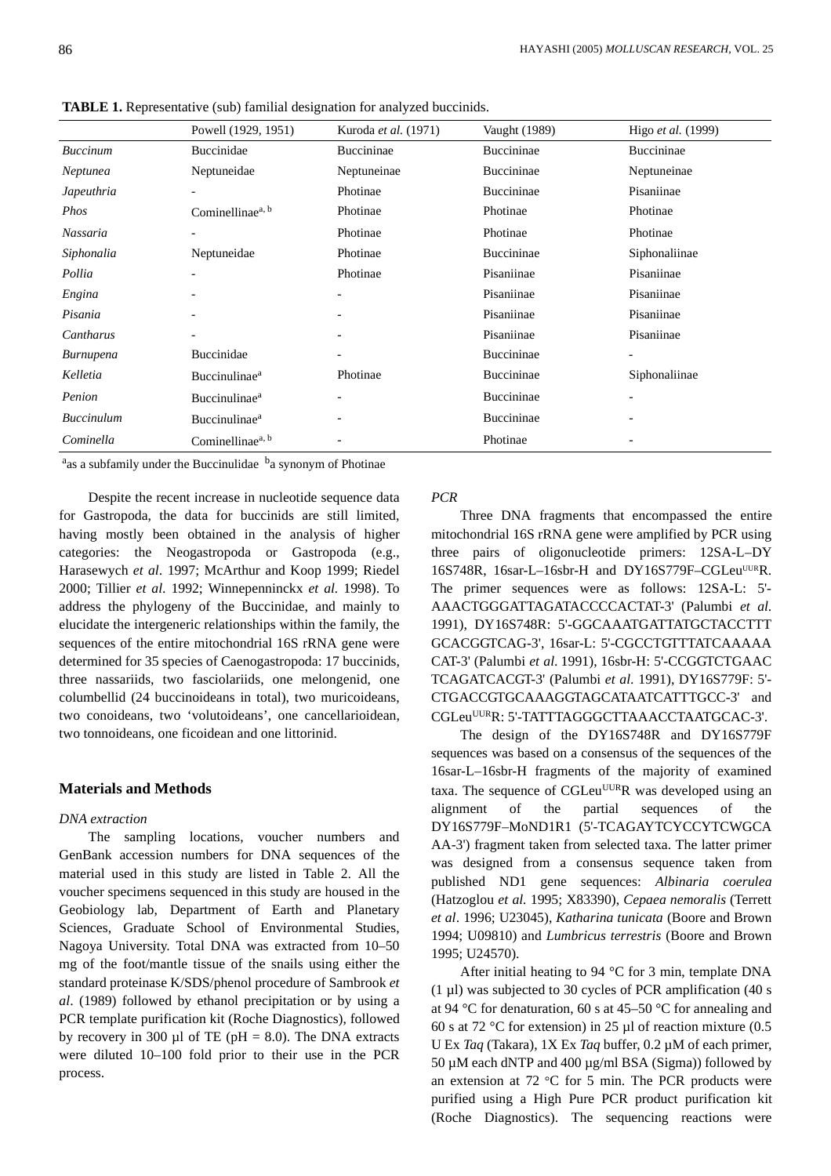|                   | Powell (1929, 1951)              | Kuroda et al. (1971)         | Vaught (1989)     | Higo <i>et al.</i> (1999) |
|-------------------|----------------------------------|------------------------------|-------------------|---------------------------|
| <b>Buccinum</b>   | Buccinidae                       | Buccininae                   | Buccininae        | Buccininae                |
| Neptunea          | Neptuneidae                      | Neptuneinae                  | Buccininae        | Neptuneinae               |
| Japeuthria        | $\qquad \qquad \blacksquare$     | Photinae                     | Buccininae        | Pisaniinae                |
| Phos              | Cominellinae <sup>a, b</sup>     | Photinae                     | Photinae          | Photinae                  |
| Nassaria          |                                  | Photinae                     | Photinae          | Photinae                  |
| Siphonalia        | Neptuneidae                      | Photinae                     | <b>Buccininae</b> | Siphonaliinae             |
| Pollia            |                                  | Photinae                     | Pisaniinae        | Pisaniinae                |
| Engina            |                                  | $\qquad \qquad \blacksquare$ | Pisaniinae        | Pisaniinae                |
| Pisania           |                                  |                              | Pisaniinae        | Pisaniinae                |
| Cantharus         |                                  | $\qquad \qquad \blacksquare$ | Pisaniinae        | Pisaniinae                |
| Burnupena         | Buccinidae                       | $\qquad \qquad \blacksquare$ | Buccininae        |                           |
| Kelletia          | <b>Buccinulinae</b> <sup>a</sup> | Photinae                     | Buccininae        | Siphonaliinae             |
| Penion            | Buccinulinae <sup>a</sup>        | $\qquad \qquad \blacksquare$ | Buccininae        |                           |
| <b>Buccinulum</b> | <b>Buccinulinae</b> <sup>a</sup> | $\qquad \qquad \blacksquare$ | Buccininae        | $\overline{\phantom{a}}$  |
| Cominella         | Cominellinae <sup>a, b</sup>     | $\qquad \qquad \blacksquare$ | Photinae          |                           |

**TABLE 1.** Representative (sub) familial designation for analyzed buccinids.

<sup>a</sup>as a subfamily under the Buccinulidae <sup>b</sup>a synonym of Photinae

Despite the recent increase in nucleotide sequence data for Gastropoda, the data for buccinids are still limited, having mostly been obtained in the analysis of higher categories: the Neogastropoda or Gastropoda (e.g., Harasewych *et al*. 1997; McArthur and Koop 1999; Riedel 2000; Tillier *et al*. 1992; Winnepenninckx *et al.* 1998). To address the phylogeny of the Buccinidae, and mainly to elucidate the intergeneric relationships within the family, the sequences of the entire mitochondrial 16S rRNA gene were determined for 35 species of Caenogastropoda: 17 buccinids, three nassariids, two fasciolariids, one melongenid, one columbellid (24 buccinoideans in total), two muricoideans, two conoideans, two 'volutoideans', one cancellarioidean, two tonnoideans, one ficoidean and one littorinid.

# **Materials and Methods**

## *DNA extraction*

The sampling locations, voucher numbers and GenBank accession numbers for DNA sequences of the material used in this study are listed in Table 2. All the voucher specimens sequenced in this study are housed in the Geobiology lab, Department of Earth and Planetary Sciences, Graduate School of Environmental Studies, Nagoya University. Total DNA was extracted from 10–50 mg of the foot/mantle tissue of the snails using either the standard proteinase K/SDS/phenol procedure of Sambrook *et al*. (1989) followed by ethanol precipitation or by using a PCR template purification kit (Roche Diagnostics), followed by recovery in 300  $\mu$ l of TE (pH = 8.0). The DNA extracts were diluted 10–100 fold prior to their use in the PCR process.

# *PCR*

Three DNA fragments that encompassed the entire mitochondrial 16S rRNA gene were amplified by PCR using three pairs of oligonucleotide primers: 12SA-L–DY 16S748R, 16sar-L-16sbr-H and DY16S779F-CGLeuUURR. The primer sequences were as follows: 12SA-L: 5'- AAACTGGGATTAGATACCCCACTAT-3' (Palumbi *et al*. 1991), DY16S748R: 5'-GGCAAATGATTATGCTACCTTT GCACGGTCAG-3', 16sar-L: 5'-CGCCTGTTTATCAAAAA CAT-3' (Palumbi *et al*. 1991), 16sbr-H: 5'-CCGGTCTGAAC TCAGATCACGT-3' (Palumbi *et al*. 1991), DY16S779F: 5'- CTGACCGTGCAAAGGTAGCATAATCATTTGCC-3' and CGLeuUURR: 5'-TATTTAGGGCTTAAACCTAATGCAC-3'.

The design of the DY16S748R and DY16S779F sequences was based on a consensus of the sequences of the 16sar-L–16sbr-H fragments of the majority of examined taxa. The sequence of  $CGLeu<sup>UUR</sup>R$  was developed using an alignment of the partial sequences of the DY16S779F–MoND1R1 (5'-TCAGAYTCYCCYTCWGCA AA-3') fragment taken from selected taxa. The latter primer was designed from a consensus sequence taken from published ND1 gene sequences: *Albinaria coerulea* (Hatzoglou *et al.* 1995; X83390), *Cepaea nemoralis* (Terrett *et al*. 1996; U23045), *Katharina tunicata* (Boore and Brown 1994; U09810) and *Lumbricus terrestris* (Boore and Brown 1995; U24570).

After initial heating to 94 °C for 3 min, template DNA  $(1 \mu l)$  was subjected to 30 cycles of PCR amplification (40 s) at 94 °C for denaturation, 60 s at 45–50 °C for annealing and 60 s at 72 °C for extension) in 25 µl of reaction mixture (0.5 U Ex *Taq* (Takara), 1X Ex *Taq* buffer, 0.2 µM of each primer, 50 µM each dNTP and 400 µg/ml BSA (Sigma)) followed by an extension at  $72 \text{ °C}$  for 5 min. The PCR products were purified using a High Pure PCR product purification kit (Roche Diagnostics). The sequencing reactions were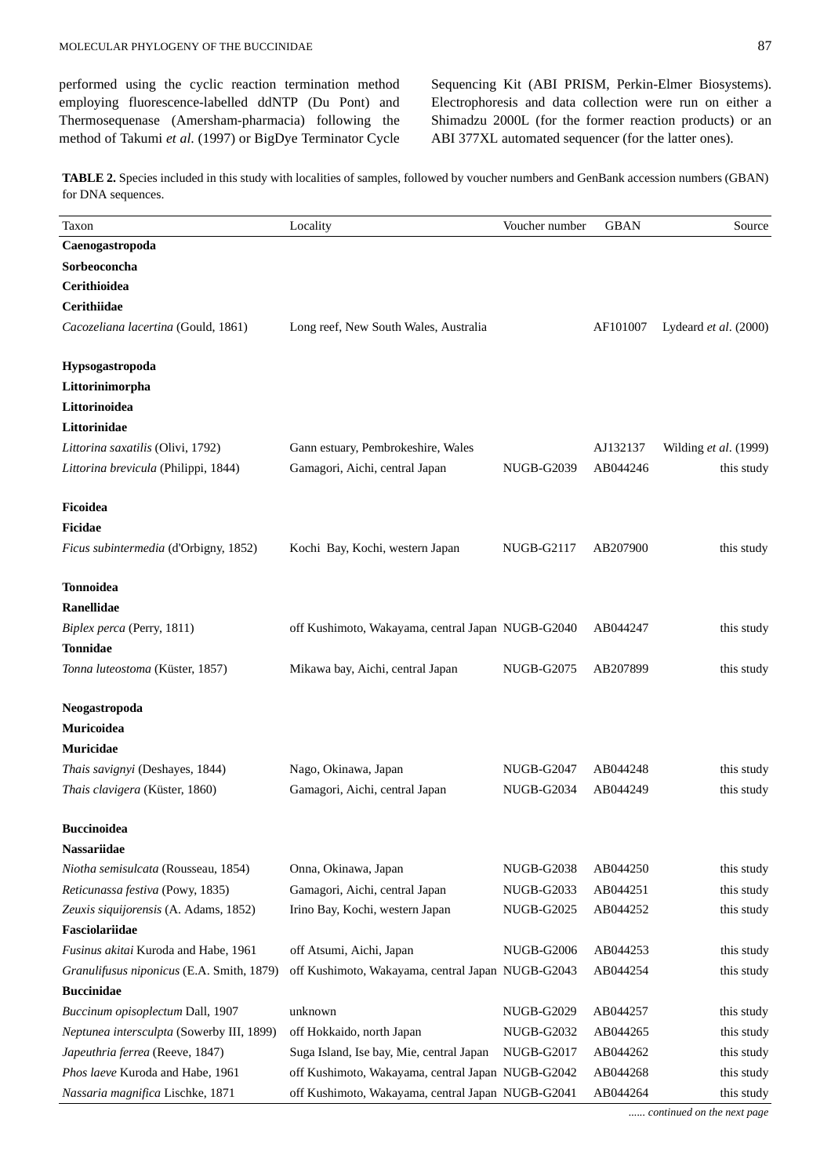performed using the cyclic reaction termination method employing fluorescence-labelled ddNTP (Du Pont) and Thermosequenase (Amersham-pharmacia) following the method of Takumi *et al*. (1997) or BigDye Terminator Cycle Sequencing Kit (ABI PRISM, Perkin-Elmer Biosystems). Electrophoresis and data collection were run on either a Shimadzu 2000L (for the former reaction products) or an ABI 377XL automated sequencer (for the latter ones).

**TABLE 2.** Species included in this study with localities of samples, followed by voucher numbers and GenBank accession numbers (GBAN) for DNA sequences.

| Taxon                                     | Locality                                          | Voucher number    | <b>GBAN</b> | Source                |
|-------------------------------------------|---------------------------------------------------|-------------------|-------------|-----------------------|
| Caenogastropoda                           |                                                   |                   |             |                       |
| Sorbeoconcha                              |                                                   |                   |             |                       |
| Cerithioidea                              |                                                   |                   |             |                       |
| Cerithiidae                               |                                                   |                   |             |                       |
| Cacozeliana lacertina (Gould, 1861)       | Long reef, New South Wales, Australia             |                   | AF101007    | Lydeard et al. (2000) |
| Hypsogastropoda                           |                                                   |                   |             |                       |
| Littorinimorpha                           |                                                   |                   |             |                       |
| Littorinoidea                             |                                                   |                   |             |                       |
| Littorinidae                              |                                                   |                   |             |                       |
| Littorina saxatilis (Olivi, 1792)         | Gann estuary, Pembrokeshire, Wales                |                   | AJ132137    | Wilding et al. (1999) |
| Littorina brevicula (Philippi, 1844)      | Gamagori, Aichi, central Japan                    | <b>NUGB-G2039</b> | AB044246    | this study            |
| Ficoidea                                  |                                                   |                   |             |                       |
| Ficidae                                   |                                                   |                   |             |                       |
| Ficus subintermedia (d'Orbigny, 1852)     | Kochi Bay, Kochi, western Japan                   | NUGB-G2117        | AB207900    | this study            |
| <b>Tonnoidea</b>                          |                                                   |                   |             |                       |
| <b>Ranellidae</b>                         |                                                   |                   |             |                       |
| Biplex perca (Perry, 1811)                | off Kushimoto, Wakayama, central Japan NUGB-G2040 |                   | AB044247    | this study            |
| <b>Tonnidae</b>                           |                                                   |                   |             |                       |
| Tonna luteostoma (Küster, 1857)           | Mikawa bay, Aichi, central Japan                  | <b>NUGB-G2075</b> | AB207899    | this study            |
| Neogastropoda                             |                                                   |                   |             |                       |
| Muricoidea                                |                                                   |                   |             |                       |
| Muricidae                                 |                                                   |                   |             |                       |
| Thais savignyi (Deshayes, 1844)           | Nago, Okinawa, Japan                              | NUGB-G2047        | AB044248    | this study            |
| Thais clavigera (Küster, 1860)            | Gamagori, Aichi, central Japan                    | <b>NUGB-G2034</b> | AB044249    | this study            |
| <b>Buccinoidea</b>                        |                                                   |                   |             |                       |
| <b>Nassariidae</b>                        |                                                   |                   |             |                       |
| Niotha semisulcata (Rousseau, 1854)       | Onna, Okinawa, Japan                              | <b>NUGB-G2038</b> | AB044250    | this study            |
| Reticunassa festiva (Powy, 1835)          | Gamagori, Aichi, central Japan                    | <b>NUGB-G2033</b> | AB044251    | this study            |
| Zeuxis siquijorensis (A. Adams, 1852)     | Irino Bay, Kochi, western Japan                   | <b>NUGB-G2025</b> | AB044252    | this study            |
| Fasciolariidae                            |                                                   |                   |             |                       |
| Fusinus akitai Kuroda and Habe, 1961      | off Atsumi, Aichi, Japan                          | <b>NUGB-G2006</b> | AB044253    | this study            |
| Granulifusus niponicus (E.A. Smith, 1879) | off Kushimoto, Wakayama, central Japan NUGB-G2043 |                   | AB044254    | this study            |
| <b>Buccinidae</b>                         |                                                   |                   |             |                       |
| Buccinum opisoplectum Dall, 1907          | unknown                                           | <b>NUGB-G2029</b> | AB044257    | this study            |
| Neptunea intersculpta (Sowerby III, 1899) | off Hokkaido, north Japan                         | <b>NUGB-G2032</b> | AB044265    | this study            |
| Japeuthria ferrea (Reeve, 1847)           | Suga Island, Ise bay, Mie, central Japan          | NUGB-G2017        | AB044262    | this study            |
| Phos laeve Kuroda and Habe, 1961          | off Kushimoto, Wakayama, central Japan NUGB-G2042 |                   | AB044268    | this study            |
| Nassaria magnifica Lischke, 1871          | off Kushimoto, Wakayama, central Japan NUGB-G2041 |                   | AB044264    | this study            |

*...... continued on the next page*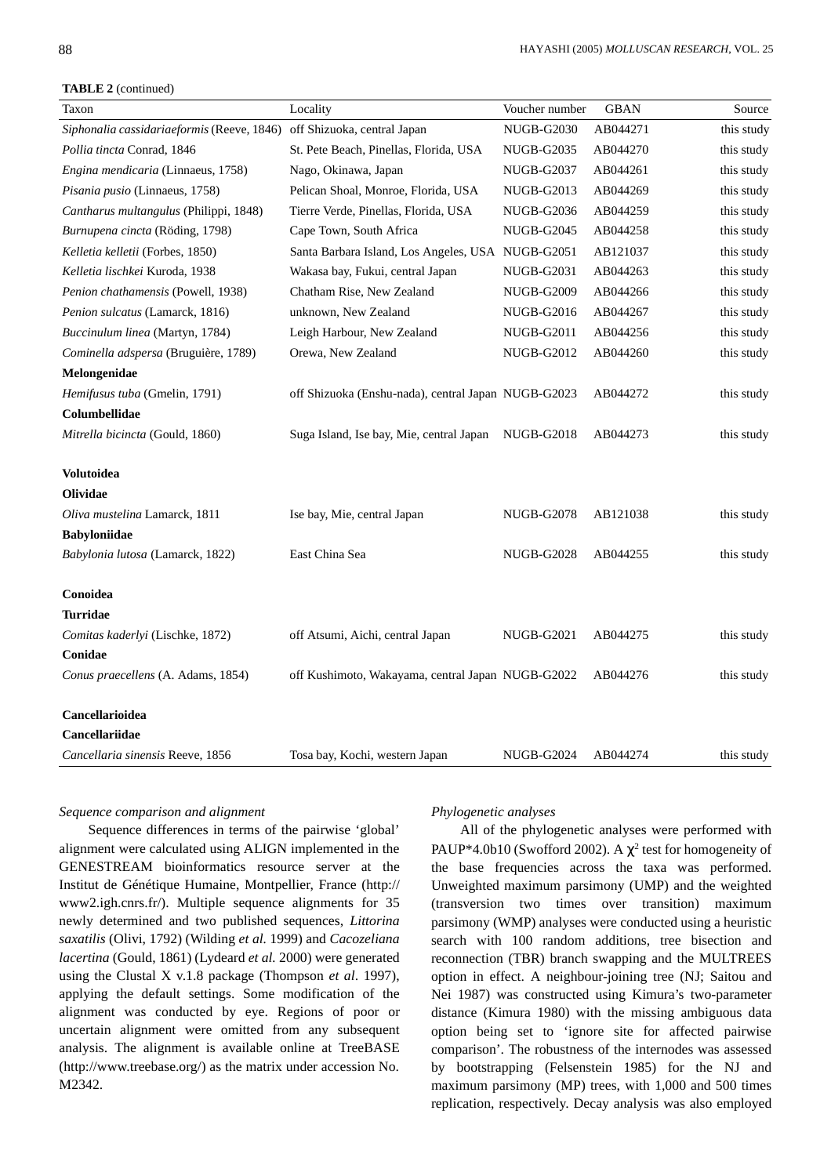**TABLE 2** (continued)

| Taxon                                      | Locality                                            | Voucher number    | <b>GBAN</b> | Source     |
|--------------------------------------------|-----------------------------------------------------|-------------------|-------------|------------|
| Siphonalia cassidariaeformis (Reeve, 1846) | off Shizuoka, central Japan                         | <b>NUGB-G2030</b> | AB044271    | this study |
| Pollia tincta Conrad, 1846                 | St. Pete Beach, Pinellas, Florida, USA              | <b>NUGB-G2035</b> | AB044270    | this study |
| Engina mendicaria (Linnaeus, 1758)         | Nago, Okinawa, Japan                                | <b>NUGB-G2037</b> | AB044261    | this study |
| Pisania pusio (Linnaeus, 1758)             | Pelican Shoal, Monroe, Florida, USA                 | <b>NUGB-G2013</b> | AB044269    | this study |
| Cantharus multangulus (Philippi, 1848)     | Tierre Verde, Pinellas, Florida, USA                | <b>NUGB-G2036</b> | AB044259    | this study |
| Burnupena cincta (Röding, 1798)            | Cape Town, South Africa                             | <b>NUGB-G2045</b> | AB044258    | this study |
| Kelletia kelletii (Forbes, 1850)           | Santa Barbara Island, Los Angeles, USA NUGB-G2051   |                   | AB121037    | this study |
| Kelletia lischkei Kuroda, 1938             | Wakasa bay, Fukui, central Japan                    | <b>NUGB-G2031</b> | AB044263    | this study |
| Penion chathamensis (Powell, 1938)         | Chatham Rise, New Zealand                           | <b>NUGB-G2009</b> | AB044266    | this study |
| Penion sulcatus (Lamarck, 1816)            | unknown, New Zealand                                | NUGB-G2016        | AB044267    | this study |
| Buccinulum linea (Martyn, 1784)            | Leigh Harbour, New Zealand                          | <b>NUGB-G2011</b> | AB044256    | this study |
| Cominella adspersa (Bruguière, 1789)       | Orewa, New Zealand                                  | <b>NUGB-G2012</b> | AB044260    | this study |
| Melongenidae                               |                                                     |                   |             |            |
| Hemifusus tuba (Gmelin, 1791)              | off Shizuoka (Enshu-nada), central Japan NUGB-G2023 |                   | AB044272    | this study |
| Columbellidae                              |                                                     |                   |             |            |
| Mitrella bicincta (Gould, 1860)            | Suga Island, Ise bay, Mie, central Japan            | NUGB-G2018        | AB044273    | this study |
| <b>Volutoidea</b>                          |                                                     |                   |             |            |
| Olividae                                   |                                                     |                   |             |            |
| Oliva mustelina Lamarck, 1811              | Ise bay, Mie, central Japan                         | <b>NUGB-G2078</b> | AB121038    | this study |
| <b>Babyloniidae</b>                        |                                                     |                   |             |            |
| Babylonia lutosa (Lamarck, 1822)           | East China Sea                                      | <b>NUGB-G2028</b> | AB044255    | this study |
| Conoidea                                   |                                                     |                   |             |            |
| Turridae                                   |                                                     |                   |             |            |
| Comitas kaderlyi (Lischke, 1872)           | off Atsumi, Aichi, central Japan                    | <b>NUGB-G2021</b> | AB044275    | this study |
| Conidae                                    |                                                     |                   |             |            |
| Conus praecellens (A. Adams, 1854)         | off Kushimoto, Wakayama, central Japan NUGB-G2022   |                   | AB044276    | this study |
| Cancellarioidea                            |                                                     |                   |             |            |
| <b>Cancellariidae</b>                      |                                                     |                   |             |            |
| Cancellaria sinensis Reeve, 1856           | Tosa bay, Kochi, western Japan                      | <b>NUGB-G2024</b> | AB044274    | this study |

# *Sequence comparison and alignment*

Sequence differences in terms of the pairwise 'global' alignment were calculated using ALIGN implemented in the GENESTREAM bioinformatics resource server at the [Institut de Génétique Humaine, Montpellier, France \(http://](http://www2.igh.cnrs.fr/) www2.igh.cnrs.fr/). Multiple sequence alignments for 35 newly determined and two published sequences, *Littorina saxatilis* (Olivi, 1792) (Wilding *et al.* 1999) and *Cacozeliana lacertina* (Gould, 1861) (Lydeard *et al.* 2000) were generated using the Clustal X v.1.8 package (Thompson *et al*. 1997), applying the default settings. Some modification of the alignment was conducted by eye. Regions of poor or uncertain alignment were omitted from any subsequent analysis. The alignment is available online at TreeBASE [\(http://www.treebase.org/\) a](http://www.treebase.org/)s the matrix under accession No. M2342.

#### *Phylogenetic analyses*

All of the phylogenetic analyses were performed with PAUP\*4.0b10 (Swofford 2002). A  $\chi^2$  test for homogeneity of the base frequencies across the taxa was performed. Unweighted maximum parsimony (UMP) and the weighted (transversion two times over transition) maximum parsimony (WMP) analyses were conducted using a heuristic search with 100 random additions, tree bisection and reconnection (TBR) branch swapping and the MULTREES option in effect. A neighbour-joining tree (NJ; Saitou and Nei 1987) was constructed using Kimura's two-parameter distance (Kimura 1980) with the missing ambiguous data option being set to 'ignore site for affected pairwise comparison'. The robustness of the internodes was assessed by bootstrapping (Felsenstein 1985) for the NJ and maximum parsimony (MP) trees, with 1,000 and 500 times replication, respectively. Decay analysis was also employed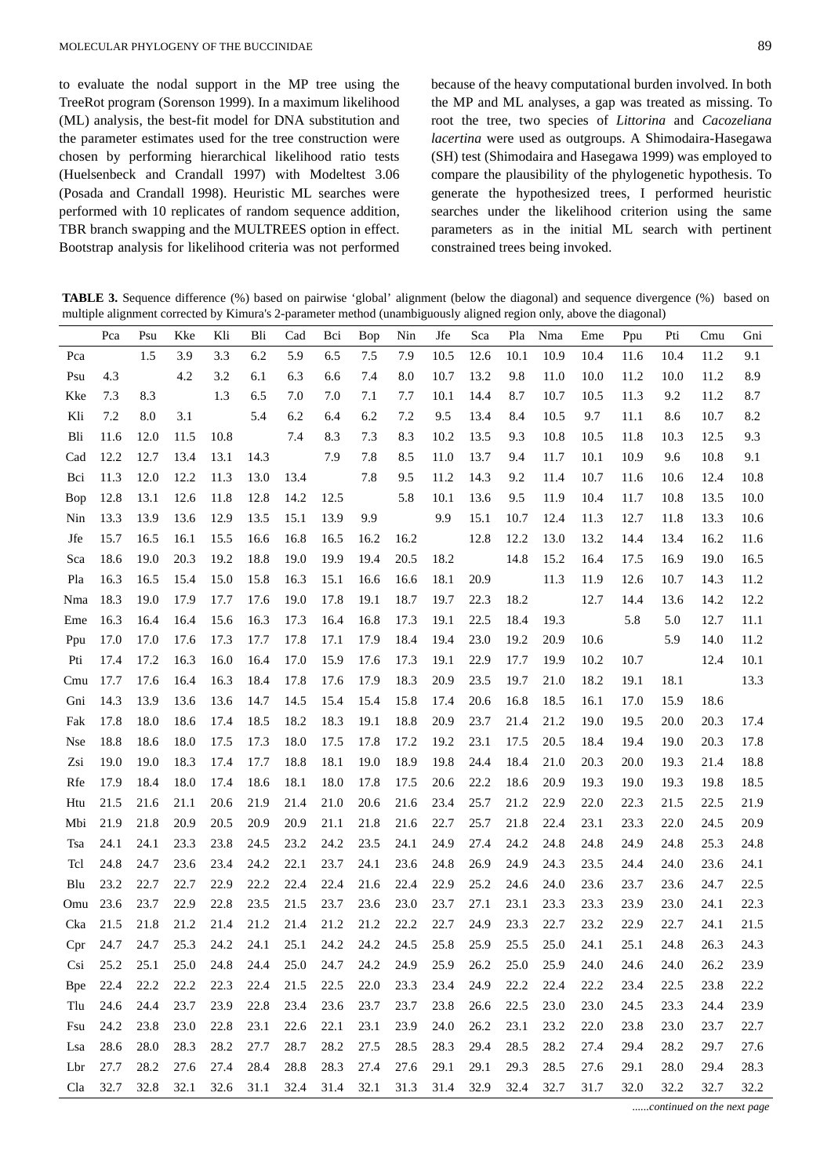to evaluate the nodal support in the MP tree using the TreeRot program (Sorenson 1999). In a maximum likelihood (ML) analysis, the best-fit model for DNA substitution and the parameter estimates used for the tree construction were chosen by performing hierarchical likelihood ratio tests (Huelsenbeck and Crandall 1997) with Modeltest 3.06 (Posada and Crandall 1998). Heuristic ML searches were performed with 10 replicates of random sequence addition, TBR branch swapping and the MULTREES option in effect. Bootstrap analysis for likelihood criteria was not performed because of the heavy computational burden involved. In both the MP and ML analyses, a gap was treated as missing. To root the tree, two species of *Littorina* and *Cacozeliana lacertina* were used as outgroups. A Shimodaira-Hasegawa (SH) test (Shimodaira and Hasegawa 1999) was employed to compare the plausibility of the phylogenetic hypothesis. To generate the hypothesized trees, I performed heuristic searches under the likelihood criterion using the same parameters as in the initial ML search with pertinent constrained trees being invoked.

**TABLE 3.** Sequence difference (%) based on pairwise 'global' alignment (below the diagonal) and sequence divergence (%) based on multiple alignment corrected by Kimura's 2-parameter method (unambiguously aligned region only, above the diagonal)

|            | Pca       | Psu  | Kke  | Kli      | Bli  | Cad  | Bci  | Bop  | Nin  | Jfe  | Sca  | Pla  | Nma  | Eme  | Ppu  | Pti  | Cmu  | Gni      |
|------------|-----------|------|------|----------|------|------|------|------|------|------|------|------|------|------|------|------|------|----------|
| Pca        |           | 1.5  | 3.9  | 3.3      | 6.2  | 5.9  | 6.5  | 7.5  | 7.9  | 10.5 | 12.6 | 10.1 | 10.9 | 10.4 | 11.6 | 10.4 | 11.2 | 9.1      |
| Psu        | 4.3       |      | 4.2  | 3.2      | 6.1  | 6.3  | 6.6  | 7.4  | 8.0  | 10.7 | 13.2 | 9.8  | 11.0 | 10.0 | 11.2 | 10.0 | 11.2 | 8.9      |
| Kke        | 7.3       | 8.3  |      | 1.3      | 6.5  | 7.0  | 7.0  | 7.1  | 7.7  | 10.1 | 14.4 | 8.7  | 10.7 | 10.5 | 11.3 | 9.2  | 11.2 | 8.7      |
| Kli        | 7.2       | 8.0  | 3.1  |          | 5.4  | 6.2  | 6.4  | 6.2  | 7.2  | 9.5  | 13.4 | 8.4  | 10.5 | 9.7  | 11.1 | 8.6  | 10.7 | 8.2      |
| Bli        | 11.6      | 12.0 | 11.5 | 10.8     |      | 7.4  | 8.3  | 7.3  | 8.3  | 10.2 | 13.5 | 9.3  | 10.8 | 10.5 | 11.8 | 10.3 | 12.5 | 9.3      |
| Cad        | 12.2      | 12.7 | 13.4 | 13.1     | 14.3 |      | 7.9  | 7.8  | 8.5  | 11.0 | 13.7 | 9.4  | 11.7 | 10.1 | 10.9 | 9.6  | 10.8 | 9.1      |
| Bci        | 11.3      | 12.0 | 12.2 | 11.3     | 13.0 | 13.4 |      | 7.8  | 9.5  | 11.2 | 14.3 | 9.2  | 11.4 | 10.7 | 11.6 | 10.6 | 12.4 | 10.8     |
| Bop        | 12.8      | 13.1 | 12.6 | 11.8     | 12.8 | 14.2 | 12.5 |      | 5.8  | 10.1 | 13.6 | 9.5  | 11.9 | 10.4 | 11.7 | 10.8 | 13.5 | 10.0     |
| Nin        | 13.3      | 13.9 | 13.6 | 12.9     | 13.5 | 15.1 | 13.9 | 9.9  |      | 9.9  | 15.1 | 10.7 | 12.4 | 11.3 | 12.7 | 11.8 | 13.3 | 10.6     |
| Jfe        | 15.7      | 16.5 | 16.1 | 15.5     | 16.6 | 16.8 | 16.5 | 16.2 | 16.2 |      | 12.8 | 12.2 | 13.0 | 13.2 | 14.4 | 13.4 | 16.2 | 11.6     |
| Sca        | 18.6      | 19.0 | 20.3 | 19.2     | 18.8 | 19.0 | 19.9 | 19.4 | 20.5 | 18.2 |      | 14.8 | 15.2 | 16.4 | 17.5 | 16.9 | 19.0 | 16.5     |
| Pla        | 16.3      | 16.5 | 15.4 | 15.0     | 15.8 | 16.3 | 15.1 | 16.6 | 16.6 | 18.1 | 20.9 |      | 11.3 | 11.9 | 12.6 | 10.7 | 14.3 | 11.2     |
| Nma        | 18.3      | 19.0 | 17.9 | 17.7     | 17.6 | 19.0 | 17.8 | 19.1 | 18.7 | 19.7 | 22.3 | 18.2 |      | 12.7 | 14.4 | 13.6 | 14.2 | 12.2     |
| Eme        | 16.3      | 16.4 | 16.4 | 15.6     | 16.3 | 17.3 | 16.4 | 16.8 | 17.3 | 19.1 | 22.5 | 18.4 | 19.3 |      | 5.8  | 5.0  | 12.7 | $11.1\,$ |
| Ppu        | 17.0      | 17.0 | 17.6 | 17.3     | 17.7 | 17.8 | 17.1 | 17.9 | 18.4 | 19.4 | 23.0 | 19.2 | 20.9 | 10.6 |      | 5.9  | 14.0 | 11.2     |
| Pti        | 17.4      | 17.2 | 16.3 | 16.0     | 16.4 | 17.0 | 15.9 | 17.6 | 17.3 | 19.1 | 22.9 | 17.7 | 19.9 | 10.2 | 10.7 |      | 12.4 | 10.1     |
| Cmu        | 17.7      | 17.6 | 16.4 | 16.3     | 18.4 | 17.8 | 17.6 | 17.9 | 18.3 | 20.9 | 23.5 | 19.7 | 21.0 | 18.2 | 19.1 | 18.1 |      | 13.3     |
| Gni        | 14.3      | 13.9 | 13.6 | 13.6     | 14.7 | 14.5 | 15.4 | 15.4 | 15.8 | 17.4 | 20.6 | 16.8 | 18.5 | 16.1 | 17.0 | 15.9 | 18.6 |          |
| Fak        | 17.8      | 18.0 | 18.6 | 17.4     | 18.5 | 18.2 | 18.3 | 19.1 | 18.8 | 20.9 | 23.7 | 21.4 | 21.2 | 19.0 | 19.5 | 20.0 | 20.3 | 17.4     |
| <b>Nse</b> | 18.8      | 18.6 | 18.0 | 17.5     | 17.3 | 18.0 | 17.5 | 17.8 | 17.2 | 19.2 | 23.1 | 17.5 | 20.5 | 18.4 | 19.4 | 19.0 | 20.3 | 17.8     |
| Zsi        | 19.0      | 19.0 | 18.3 | 17.4     | 17.7 | 18.8 | 18.1 | 19.0 | 18.9 | 19.8 | 24.4 | 18.4 | 21.0 | 20.3 | 20.0 | 19.3 | 21.4 | 18.8     |
| Rfe        | 17.9      | 18.4 | 18.0 | 17.4     | 18.6 | 18.1 | 18.0 | 17.8 | 17.5 | 20.6 | 22.2 | 18.6 | 20.9 | 19.3 | 19.0 | 19.3 | 19.8 | 18.5     |
| Htu        | 21.5      | 21.6 | 21.1 | 20.6     | 21.9 | 21.4 | 21.0 | 20.6 | 21.6 | 23.4 | 25.7 | 21.2 | 22.9 | 22.0 | 22.3 | 21.5 | 22.5 | 21.9     |
| Mbi        | 21.9      | 21.8 | 20.9 | 20.5     | 20.9 | 20.9 | 21.1 | 21.8 | 21.6 | 22.7 | 25.7 | 21.8 | 22.4 | 23.1 | 23.3 | 22.0 | 24.5 | 20.9     |
| Tsa        | 24.1      | 24.1 | 23.3 | 23.8     | 24.5 | 23.2 | 24.2 | 23.5 | 24.1 | 24.9 | 27.4 | 24.2 | 24.8 | 24.8 | 24.9 | 24.8 | 25.3 | 24.8     |
| Tcl        | 24.8      | 24.7 | 23.6 | 23.4     | 24.2 | 22.1 | 23.7 | 24.1 | 23.6 | 24.8 | 26.9 | 24.9 | 24.3 | 23.5 | 24.4 | 24.0 | 23.6 | 24.1     |
| Blu        | 23.2      | 22.7 | 22.7 | 22.9     | 22.2 | 22.4 | 22.4 | 21.6 | 22.4 | 22.9 | 25.2 | 24.6 | 24.0 | 23.6 | 23.7 | 23.6 | 24.7 | 22.5     |
| Omu        | 23.6      | 23.7 | 22.9 | 22.8     | 23.5 | 21.5 | 23.7 | 23.6 | 23.0 | 23.7 | 27.1 | 23.1 | 23.3 | 23.3 | 23.9 | 23.0 | 24.1 | 22.3     |
| Cka        | 21.5      | 21.8 | 21.2 | 21.4     | 21.2 | 21.4 | 21.2 | 21.2 | 22.2 | 22.7 | 24.9 | 23.3 | 22.7 | 23.2 | 22.9 | 22.7 | 24.1 | 21.5     |
| Cpr        | 24.7      | 24.7 | 25.3 | 24.2     | 24.1 | 25.1 | 24.2 | 24.2 | 24.5 | 25.8 | 25.9 | 25.5 | 25.0 | 24.1 | 25.1 | 24.8 | 26.3 | 24.3     |
| Csi        | 25.2 25.1 |      | 25.0 | 24.8     | 24.4 | 25.0 | 24.7 | 24.2 | 24.9 | 25.9 | 26.2 | 25.0 | 25.9 | 24.0 | 24.6 | 24.0 | 26.2 | 23.9     |
| <b>Bpe</b> | 22.4      | 22.2 | 22.2 | 22.3     | 22.4 | 21.5 | 22.5 | 22.0 | 23.3 | 23.4 | 24.9 | 22.2 | 22.4 | 22.2 | 23.4 | 22.5 | 23.8 | 22.2     |
| Tlu        | 24.6      | 24.4 | 23.7 | 23.9     | 22.8 | 23.4 | 23.6 | 23.7 | 23.7 | 23.8 | 26.6 | 22.5 | 23.0 | 23.0 | 24.5 | 23.3 | 24.4 | 23.9     |
| Fsu        | 24.2      | 23.8 | 23.0 | 22.8     | 23.1 | 22.6 | 22.1 | 23.1 | 23.9 | 24.0 | 26.2 | 23.1 | 23.2 | 22.0 | 23.8 | 23.0 | 23.7 | 22.7     |
| Lsa        | 28.6      | 28.0 | 28.3 | $28.2\,$ | 27.7 | 28.7 | 28.2 | 27.5 | 28.5 | 28.3 | 29.4 | 28.5 | 28.2 | 27.4 | 29.4 | 28.2 | 29.7 | 27.6     |
| Lbr        | 27.7      | 28.2 | 27.6 | 27.4     | 28.4 | 28.8 | 28.3 | 27.4 | 27.6 | 29.1 | 29.1 | 29.3 | 28.5 | 27.6 | 29.1 | 28.0 | 29.4 | 28.3     |
| Cla        | 32.7      | 32.8 | 32.1 | 32.6     | 31.1 | 32.4 | 31.4 | 32.1 | 31.3 | 31.4 | 32.9 | 32.4 | 32.7 | 31.7 | 32.0 | 32.2 | 32.7 | 32.2     |

*......continued on the next page*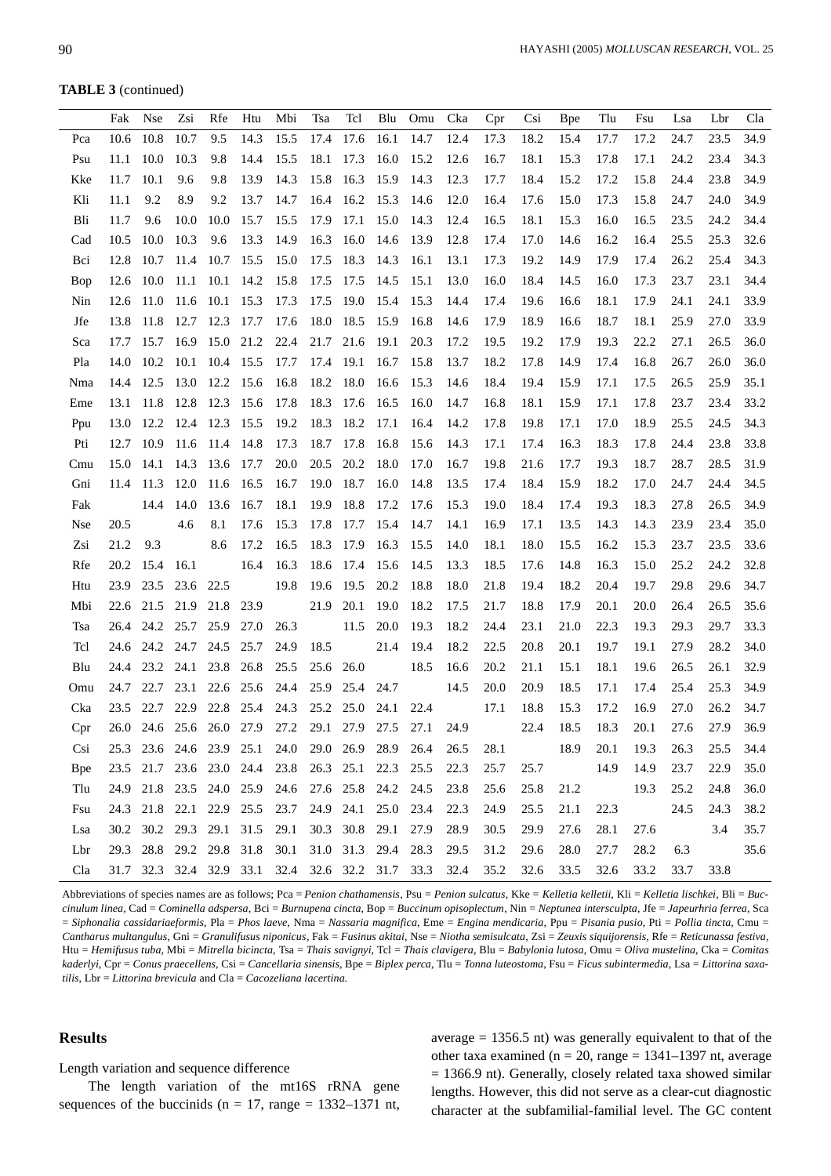**TABLE 3** (continued)

|             | Fak  | <b>Nse</b>     | Zsi  | Rfe       | Htu                           | Mbi                                               | Tsa  | Tcl                 | Blu  | Omu                                                         | Cka  | Cpr  | Csi                           | <b>B</b> pe    | Tlu  | Fsu  | Lsa  | Lbr  | Cla  |
|-------------|------|----------------|------|-----------|-------------------------------|---------------------------------------------------|------|---------------------|------|-------------------------------------------------------------|------|------|-------------------------------|----------------|------|------|------|------|------|
| Pca         | 10.6 | 10.8           | 10.7 | 9.5       | 14.3                          | 15.5                                              | 17.4 | 17.6                | 16.1 | 14.7                                                        | 12.4 | 17.3 | 18.2                          | 15.4           | 17.7 | 17.2 | 24.7 | 23.5 | 34.9 |
| Psu         | 11.1 | 10.0           | 10.3 | 9.8       | 14.4                          | 15.5                                              | 18.1 | 17.3                | 16.0 | 15.2                                                        | 12.6 | 16.7 | 18.1                          | 15.3           | 17.8 | 17.1 | 24.2 | 23.4 | 34.3 |
| Kke         | 11.7 | 10.1           | 9.6  | 9.8       | 13.9                          | 14.3                                              | 15.8 | 16.3                | 15.9 | 14.3                                                        | 12.3 | 17.7 | 18.4                          | 15.2           | 17.2 | 15.8 | 24.4 | 23.8 | 34.9 |
| Kli         | 11.1 | 9.2            | 8.9  | 9.2       | 13.7                          | 14.7                                              | 16.4 | 16.2                | 15.3 | 14.6                                                        | 12.0 | 16.4 | 17.6                          | 15.0           | 17.3 | 15.8 | 24.7 | 24.0 | 34.9 |
| Bli         | 11.7 | 9.6            | 10.0 | 10.0      | 15.7                          | 15.5                                              | 17.9 | 17.1                | 15.0 | 14.3                                                        | 12.4 | 16.5 | 18.1                          | 15.3           | 16.0 | 16.5 | 23.5 | 24.2 | 34.4 |
| Cad         | 10.5 | 10.0           | 10.3 | 9.6       | 13.3                          | 14.9                                              | 16.3 | 16.0                | 14.6 | 13.9                                                        | 12.8 | 17.4 | 17.0                          | 14.6           | 16.2 | 16.4 | 25.5 | 25.3 | 32.6 |
| Bci         | 12.8 | 10.7           | 11.4 | 10.7      | 15.5                          | 15.0                                              | 17.5 | 18.3                | 14.3 | 16.1                                                        | 13.1 | 17.3 | 19.2                          | 14.9           | 17.9 | 17.4 | 26.2 | 25.4 | 34.3 |
| Bop         | 12.6 | 10.0           | 11.1 | 10.1      | 14.2                          | 15.8                                              | 17.5 | 17.5                | 14.5 | 15.1                                                        | 13.0 | 16.0 | 18.4                          | 14.5           | 16.0 | 17.3 | 23.7 | 23.1 | 34.4 |
| Nin         | 12.6 | 11.0           | 11.6 | 10.1 15.3 |                               | 17.3                                              | 17.5 | 19.0                | 15.4 | 15.3                                                        | 14.4 | 17.4 | 19.6                          | 16.6           | 18.1 | 17.9 | 24.1 | 24.1 | 33.9 |
| Jfe         | 13.8 | 11.8           | 12.7 | 12.3      | 17.7                          | 17.6                                              | 18.0 | 18.5                | 15.9 | 16.8                                                        | 14.6 | 17.9 | 18.9                          | 16.6           | 18.7 | 18.1 | 25.9 | 27.0 | 33.9 |
| Sca         | 17.7 | 15.7           | 16.9 | 15.0      | 21.2                          | 22.4                                              | 21.7 | 21.6                | 19.1 | 20.3                                                        | 17.2 | 19.5 | 19.2                          | 17.9           | 19.3 | 22.2 | 27.1 | 26.5 | 36.0 |
| Pla         | 14.0 | 10.2           | 10.1 | 10.4      | 15.5                          | 17.7                                              | 17.4 | 19.1                | 16.7 | 15.8                                                        | 13.7 | 18.2 | 17.8                          | 14.9           | 17.4 | 16.8 | 26.7 | 26.0 | 36.0 |
| Nma         |      | 14.4 12.5      | 13.0 | 12.2      | 15.6                          | 16.8                                              | 18.2 | 18.0                | 16.6 | 15.3                                                        | 14.6 | 18.4 | 19.4                          | 15.9           | 17.1 | 17.5 | 26.5 | 25.9 | 35.1 |
| Eme         |      | 13.1 11.8 12.8 |      | 12.3      | 15.6                          | 17.8                                              | 18.3 | 17.6                | 16.5 | 16.0                                                        | 14.7 | 16.8 | 18.1                          | 15.9           | 17.1 | 17.8 | 23.7 | 23.4 | 33.2 |
| Ppu         | 13.0 | 12.2           | 12.4 | 12.3      | 15.5                          | 19.2                                              | 18.3 | 18.2                | 17.1 | 16.4                                                        | 14.2 | 17.8 | 19.8                          | 17.1           | 17.0 | 18.9 | 25.5 | 24.5 | 34.3 |
| Pti         |      | 12.7 10.9      | 11.6 | 11.4      | 14.8                          | 17.3                                              | 18.7 | 17.8                | 16.8 | 15.6                                                        | 14.3 | 17.1 | 17.4                          | 16.3           | 18.3 | 17.8 | 24.4 | 23.8 | 33.8 |
| Cmu         | 15.0 | 14.1           | 14.3 | 13.6      | 17.7                          | 20.0                                              | 20.5 | 20.2                | 18.0 | 17.0                                                        | 16.7 | 19.8 | 21.6                          | 17.7           | 19.3 | 18.7 | 28.7 | 28.5 | 31.9 |
| Gni         | 11.4 | 11.3           | 12.0 | 11.6      | 16.5                          | 16.7                                              | 19.0 | 18.7                | 16.0 | 14.8                                                        | 13.5 | 17.4 | 18.4                          | 15.9           | 18.2 | 17.0 | 24.7 | 24.4 | 34.5 |
| Fak         |      | 14.4           | 14.0 | 13.6      | 16.7                          | 18.1                                              | 19.9 | 18.8                | 17.2 | 17.6                                                        | 15.3 | 19.0 | 18.4                          | 17.4           | 19.3 | 18.3 | 27.8 | 26.5 | 34.9 |
| <b>Nse</b>  | 20.5 |                | 4.6  | 8.1       | 17.6                          | 15.3                                              | 17.8 | 17.7                | 15.4 | 14.7                                                        | 14.1 | 16.9 | 17.1                          | 13.5           | 14.3 | 14.3 | 23.9 | 23.4 | 35.0 |
| Zsi         | 21.2 | 9.3            |      | 8.6       | 17.2                          | 16.5                                              | 18.3 | 17.9                | 16.3 | 15.5                                                        | 14.0 | 18.1 | 18.0                          | 15.5           | 16.2 | 15.3 | 23.7 | 23.5 | 33.6 |
| Rfe         | 20.2 | 15.4           | 16.1 |           | 16.4                          | 16.3                                              | 18.6 | 17.4                | 15.6 | 14.5                                                        | 13.3 | 18.5 | 17.6                          | 14.8           | 16.3 | 15.0 | 25.2 | 24.2 | 32.8 |
| Htu         |      | 23.9 23.5      | 23.6 | 22.5      |                               | 19.8                                              | 19.6 | 19.5                | 20.2 | 18.8                                                        | 18.0 | 21.8 | 19.4                          | 18.2           | 20.4 | 19.7 | 29.8 | 29.6 | 34.7 |
| Mbi         |      | 22.6 21.5      | 21.9 | 21.8      | 23.9                          |                                                   | 21.9 | 20.1                | 19.0 | 18.2                                                        | 17.5 | 21.7 | 18.8                          | 17.9           | 20.1 | 20.0 | 26.4 | 26.5 | 35.6 |
| Tsa         |      | 26.4 24.2      | 25.7 | 25.9      | 27.0                          | 26.3                                              |      | 11.5                | 20.0 | 19.3                                                        | 18.2 | 24.4 | 23.1                          | 21.0           | 22.3 | 19.3 | 29.3 | 29.7 | 33.3 |
| Tcl         |      | 24.6 24.2 24.7 |      | 24.5      | 25.7                          | 24.9                                              | 18.5 |                     | 21.4 | 19.4                                                        | 18.2 | 22.5 | 20.8                          | 20.1           | 19.7 | 19.1 | 27.9 | 28.2 | 34.0 |
| Blu         | 24.4 | 23.2           | 24.1 | 23.8      | 26.8                          | 25.5                                              | 25.6 | 26.0                |      | 18.5                                                        | 16.6 | 20.2 | 21.1                          | 15.1           | 18.1 | 19.6 | 26.5 | 26.1 | 32.9 |
| Omu         | 24.7 | 22.7           | 23.1 | 22.6      | 25.6                          | 24.4                                              | 25.9 | 25.4                | 24.7 |                                                             | 14.5 | 20.0 | 20.9                          | 18.5           | 17.1 | 17.4 | 25.4 | 25.3 | 34.9 |
| Cka         | 23.5 | 22.7           | 22.9 | 22.8      | 25.4                          | 24.3                                              | 25.2 | 25.0                | 24.1 | 22.4                                                        |      | 17.1 | 18.8                          | 15.3           | 17.2 | 16.9 | 27.0 | 26.2 | 34.7 |
| Cpr         | 26.0 | 24.6           | 25.6 | 26.0      | 27.9                          | 27.2                                              | 29.1 | 27.9                | 27.5 | 27.1                                                        | 24.9 |      | 22.4                          | 18.5           | 18.3 | 20.1 | 27.6 | 27.9 | 36.9 |
| Csi         |      |                |      |           |                               |                                                   |      |                     |      | 25.3 23.6 24.6 23.9 25.1 24.0 29.0 26.9 28.9 26.4 26.5 28.1 |      |      | 18.9 20.1 19.3 26.3 25.5 34.4 |                |      |      |      |      |      |
| <b>B</b> pe |      |                |      |           |                               |                                                   |      |                     |      | 23.5 21.7 23.6 23.0 24.4 23.8 26.3 25.1 22.3 25.5 22.3      |      | 25.7 | 25.7                          |                | 14.9 | 14.9 | 23.7 | 22.9 | 35.0 |
| Tlu         |      |                |      |           |                               |                                                   |      |                     |      | 24.9 21.8 23.5 24.0 25.9 24.6 27.6 25.8 24.2 24.5 23.8      |      | 25.6 | 25.8                          | 21.2           |      | 19.3 | 25.2 | 24.8 | 36.0 |
| Fsu         |      |                |      |           |                               | 24.3 21.8 22.1 22.9 25.5 23.7 24.9 24.1 25.0 23.4 |      |                     |      |                                                             | 22.3 | 24.9 | 25.5                          | 21.1           | 22.3 |      | 24.5 | 24.3 | 38.2 |
| Lsa         |      |                |      |           | 30.2 30.2 29.3 29.1 31.5 29.1 |                                                   |      | 30.3 30.8 29.1 27.9 |      |                                                             | 28.9 | 30.5 | 29.9                          | 27.6           | 28.1 | 27.6 |      | 3.4  | 35.7 |
| Lbr         |      |                |      |           | 29.3 28.8 29.2 29.8 31.8 30.1 |                                                   |      |                     |      | 31.0 31.3 29.4 28.3 29.5                                    |      | 31.2 | 29.6                          | 28.0           | 27.7 | 28.2 | 6.3  |      | 35.6 |
| Cla         |      |                |      |           |                               |                                                   |      |                     |      | 31.7 32.3 32.4 32.9 33.1 32.4 32.6 32.2 31.7 33.3 32.4 35.2 |      |      |                               | 32.6 33.5 32.6 |      | 33.2 | 33.7 | 33.8 |      |

Abbreviations of species names are as follows; Pca = *Penion chathamensis*, Psu = *Penion sulcatus*, Kke = *Kelletia kelletii*, Kli = *Kelletia lischkei*, Bli = *Buccinulum linea*, Cad = *Cominella adspersa*, Bci = *Burnupena cincta*, Bop = *Buccinum opisoplectum*, Nin = *Neptunea intersculpta*, Jfe = *Japeurhria ferrea*, Sca = Siphonalia cassidariaeformis, Pla = Phos laeve, Nma = Nassaria magnifica, Eme = Engina mendicaria, Ppu = Pisania pusio, Pti = Pollia tincta, Cmu = Cantharus multangulus, Gni = Granulifusus niponicus, Fak = Fusinus akitai, Nse = Niotha semisulcata, Zsi = Zeuxis siquijorensis, Rfe = Reticunassa festiva, Htu = Hemifusus tuba, Mbi = Mitrella bicincta, Tsa = Thais savignyi, Tcl = Thais clavigera, Blu = Babylonia lutosa, Omu = Oliva mustelina, Cka = Comitas *kaderlyi*, Cpr = *Conus praecellens*, Csi = *Cancellaria sinensis*, Bpe = *Biplex perca*, Tlu = *Tonna luteostoma*, Fsu = *Ficus subintermedia*, Lsa = *Littorina saxatilis*, Lbr = *Littorina brevicula* and Cla = *Cacozeliana lacertina.*

# **Results**

# Length variation and sequence difference

The length variation of the mt16S rRNA gene sequences of the buccinids ( $n = 17$ , range = 1332–1371 nt, average  $= 1356.5$  nt) was generally equivalent to that of the other taxa examined ( $n = 20$ , range = 1341–1397 nt, average = 1366.9 nt). Generally, closely related taxa showed similar lengths. However, this did not serve as a clear-cut diagnostic character at the subfamilial-familial level. The GC content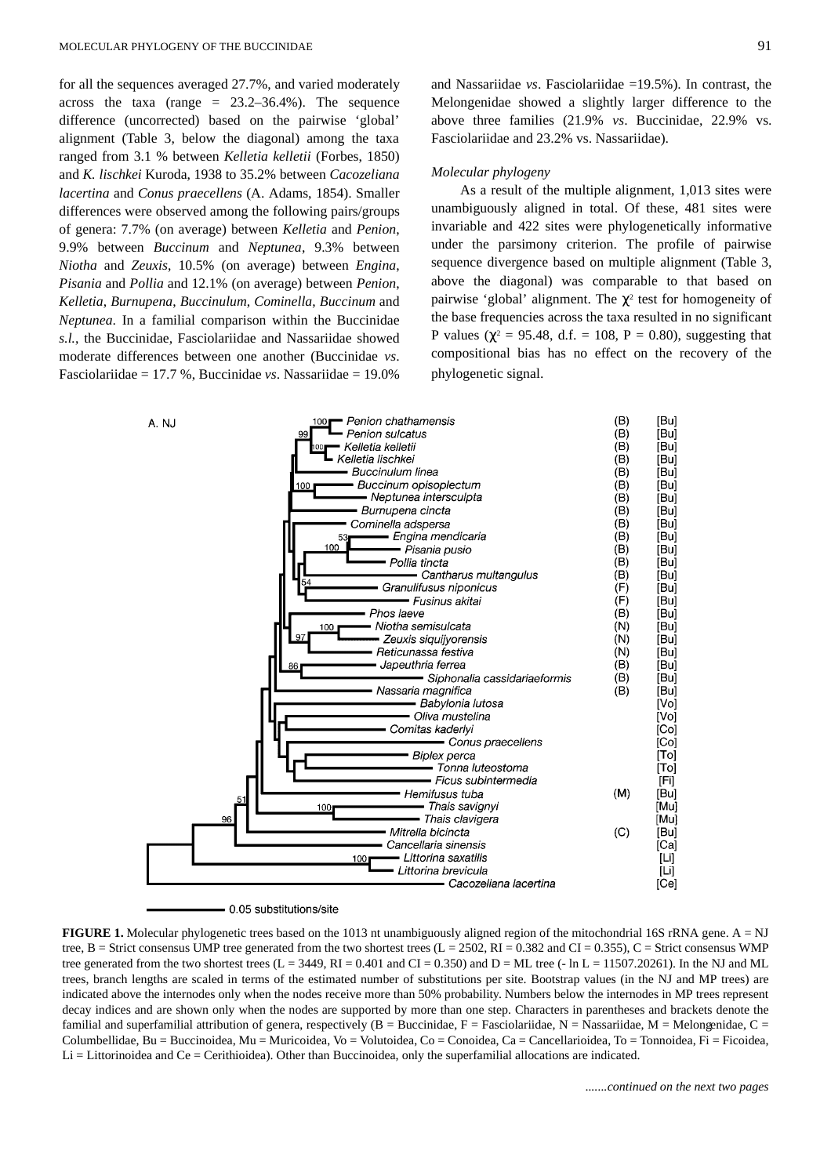for all the sequences averaged 27.7%, and varied moderately across the taxa (range  $= 23.2 - 36.4\%$ ). The sequence difference (uncorrected) based on the pairwise 'global' alignment (Table 3, below the diagonal) among the taxa ranged from 3.1 % between *Kelletia kelletii* (Forbes, 1850) and *K. lischkei* Kuroda, 1938 to 35.2% between *Cacozeliana lacertina* and *Conus praecellens* (A. Adams, 1854). Smaller differences were observed among the following pairs/groups of genera: 7.7% (on average) between *Kelletia* and *Penion*, 9.9% between *Buccinum* and *Neptunea*, 9.3% between *Niotha* and *Zeuxis*, 10.5% (on average) between *Engina*, *Pisania* and *Pollia* and 12.1% (on average) between *Penion*, *Kelletia*, *Burnupena*, *Buccinulum*, *Cominella*, *Buccinum* and *Neptunea*. In a familial comparison within the Buccinidae *s.l.*, the Buccinidae, Fasciolariidae and Nassariidae showed moderate differences between one another (Buccinidae *vs*. Fasciolariidae = 17.7 %, Buccinidae *vs*. Nassariidae = 19.0%

and Nassariidae *vs*. Fasciolariidae =19.5%). In contrast, the Melongenidae showed a slightly larger difference to the above three families (21.9% *vs*. Buccinidae, 22.9% vs. Fasciolariidae and 23.2% vs. Nassariidae).

#### *Molecular phylogeny*

As a result of the multiple alignment, 1,013 sites were unambiguously aligned in total. Of these, 481 sites were invariable and 422 sites were phylogenetically informative under the parsimony criterion. The profile of pairwise sequence divergence based on multiple alignment (Table 3, above the diagonal) was comparable to that based on pairwise 'global' alignment. The  $\chi^2$  test for homogeneity of the base frequencies across the taxa resulted in no significant P values ( $\chi^2 = 95.48$ , d.f. = 108, P = 0.80), suggesting that compositional bias has no effect on the recovery of the phylogenetic signal.



- 0.05 substitutions/site

**FIGURE 1.** Molecular phylogenetic trees based on the 1013 nt unambiguously aligned region of the mitochondrial 16S rRNA gene. A = NJ tree, B = Strict consensus UMP tree generated from the two shortest trees  $(L = 2502, RI = 0.382$  and  $CI = 0.355$ ),  $C =$  Strict consensus WMP tree generated from the two shortest trees  $(L = 3449, RI = 0.401$  and  $CI = 0.350$ ) and  $D = ML$  tree (- ln  $L = 11507.20261$ ). In the NJ and ML trees, branch lengths are scaled in terms of the estimated number of substitutions per site. Bootstrap values (in the NJ and MP trees) are indicated above the internodes only when the nodes receive more than 50% probability. Numbers below the internodes in MP trees represent decay indices and are shown only when the nodes are supported by more than one step. Characters in parentheses and brackets denote the familial and superfamilial attribution of genera, respectively  $(B = Buccinidae, F = Fasciolariidae, N = Nassariidae, M = Melongenidae, C = Bucciolae)$ Columbellidae, Bu = Buccinoidea, Mu = Muricoidea, Vo = Volutoidea, Co = Conoidea, Ca = Cancellarioidea, To = Tonnoidea, Fi = Ficoidea, Li = Littorinoidea and Ce = Cerithioidea). Other than Buccinoidea, only the superfamilial allocations are indicated.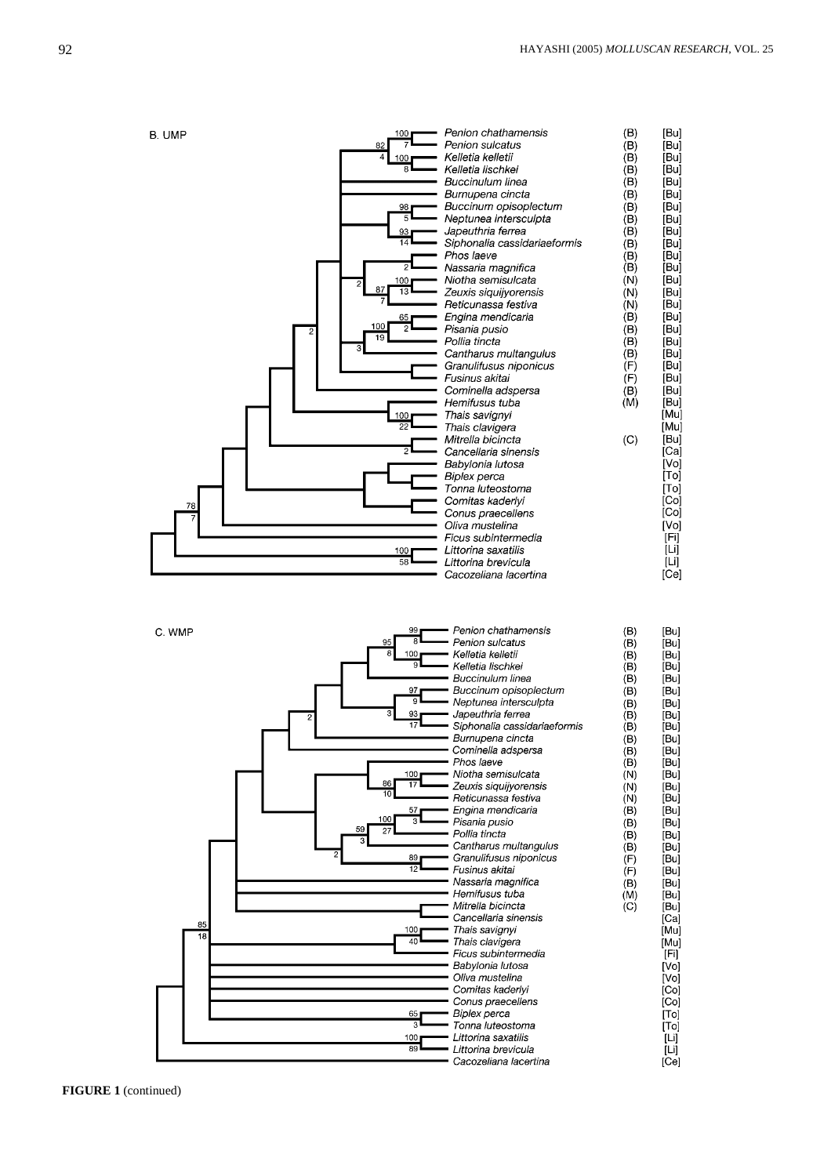

| C. WMP   | 99<br>Penion chathamensis<br><b>R</b><br>Penion sulcatus<br>95<br>8<br>Kelletia kelletii<br>100<br>$\overline{\mathbf{q}}$<br>Kelletia lischkei<br><b>Buccinulum linea</b><br>Buccinum opisoplectum<br>97<br>$\mathbf{Q}$<br>Neptunea intersculpta<br>3<br>Japeuthria ferrea<br>93<br>2<br>$\overline{17}$<br>Siphonalia cassidariaeformis<br>Burnupena cincta<br>Cominella adspersa<br>Phos laeve<br>Niotha semisulcata<br>100<br>86<br>17<br>Zeuxis siquijyorensis<br>10<br>Reticunassa festiva<br>Engina mendicaria<br>57<br>100<br>3<br>Pisania pusio<br>59<br>27<br>Pollia tincta<br>Cantharus multangulus<br>2<br>Granulifusus niponicus<br>89<br>$\overline{12}$<br>Fusinus akitai<br>Nassaria magnifica<br>Hemifusus tuba | (B)<br>(B)<br>(B)<br>(B)<br>(B)<br>(B)<br>(B)<br>(B)<br>(B)<br>(B)<br>(B)<br>(B)<br>(N)<br>(N)<br>(N)<br>(B)<br>(B)<br>(B)<br>(B)<br>(F)<br>(F)<br>(B)<br>(M) | [Bu]<br>[Bu]<br>[Bu]<br>[Bu]<br>[Bu]<br>[Bu]<br>[Bu]<br>[Bu]<br>[Bu]<br>[Bu]<br>[Bu]<br>[Bu]<br>[Bu]<br>[Bu]<br>[Bu]<br>[Bu]<br>[Bu]<br>[Bu]<br>[Bu]<br>[Bu]<br>[Bu] |
|----------|-----------------------------------------------------------------------------------------------------------------------------------------------------------------------------------------------------------------------------------------------------------------------------------------------------------------------------------------------------------------------------------------------------------------------------------------------------------------------------------------------------------------------------------------------------------------------------------------------------------------------------------------------------------------------------------------------------------------------------------|---------------------------------------------------------------------------------------------------------------------------------------------------------------|----------------------------------------------------------------------------------------------------------------------------------------------------------------------|
|          |                                                                                                                                                                                                                                                                                                                                                                                                                                                                                                                                                                                                                                                                                                                                   |                                                                                                                                                               | [Bu]                                                                                                                                                                 |
|          |                                                                                                                                                                                                                                                                                                                                                                                                                                                                                                                                                                                                                                                                                                                                   |                                                                                                                                                               | [Bu]                                                                                                                                                                 |
|          | Mitrella bicincta<br>Cancellaria sinensis                                                                                                                                                                                                                                                                                                                                                                                                                                                                                                                                                                                                                                                                                         | (C)                                                                                                                                                           | [Bu]<br>[Ca]                                                                                                                                                         |
| 85<br>18 | Thais savignyi<br>100<br>40                                                                                                                                                                                                                                                                                                                                                                                                                                                                                                                                                                                                                                                                                                       |                                                                                                                                                               | [Mu]                                                                                                                                                                 |
|          | Thais clavigera<br>Ficus subintermedia                                                                                                                                                                                                                                                                                                                                                                                                                                                                                                                                                                                                                                                                                            |                                                                                                                                                               | [Mu]<br>[Fi]                                                                                                                                                         |
|          | Babylonia lutosa<br>Oliva mustelina                                                                                                                                                                                                                                                                                                                                                                                                                                                                                                                                                                                                                                                                                               |                                                                                                                                                               | [Vol]<br>[Vo]                                                                                                                                                        |
|          | Comitas kaderlyi                                                                                                                                                                                                                                                                                                                                                                                                                                                                                                                                                                                                                                                                                                                  |                                                                                                                                                               | [Co]                                                                                                                                                                 |
|          | Conus praecellens<br>Biplex perca<br>65                                                                                                                                                                                                                                                                                                                                                                                                                                                                                                                                                                                                                                                                                           |                                                                                                                                                               | [Co]<br>$\lceil \textsf{T} \textsf{o} \rceil$                                                                                                                        |
|          | $\overline{\mathbf{3}}$<br>Tonna luteostoma                                                                                                                                                                                                                                                                                                                                                                                                                                                                                                                                                                                                                                                                                       |                                                                                                                                                               | [To]                                                                                                                                                                 |
|          | Littorina saxatilis<br>100                                                                                                                                                                                                                                                                                                                                                                                                                                                                                                                                                                                                                                                                                                        |                                                                                                                                                               | [Li]                                                                                                                                                                 |
|          | 89<br>Littorina brevicula                                                                                                                                                                                                                                                                                                                                                                                                                                                                                                                                                                                                                                                                                                         |                                                                                                                                                               | įυj                                                                                                                                                                  |
|          | Cacozeliana lacertina                                                                                                                                                                                                                                                                                                                                                                                                                                                                                                                                                                                                                                                                                                             |                                                                                                                                                               | [Ce]                                                                                                                                                                 |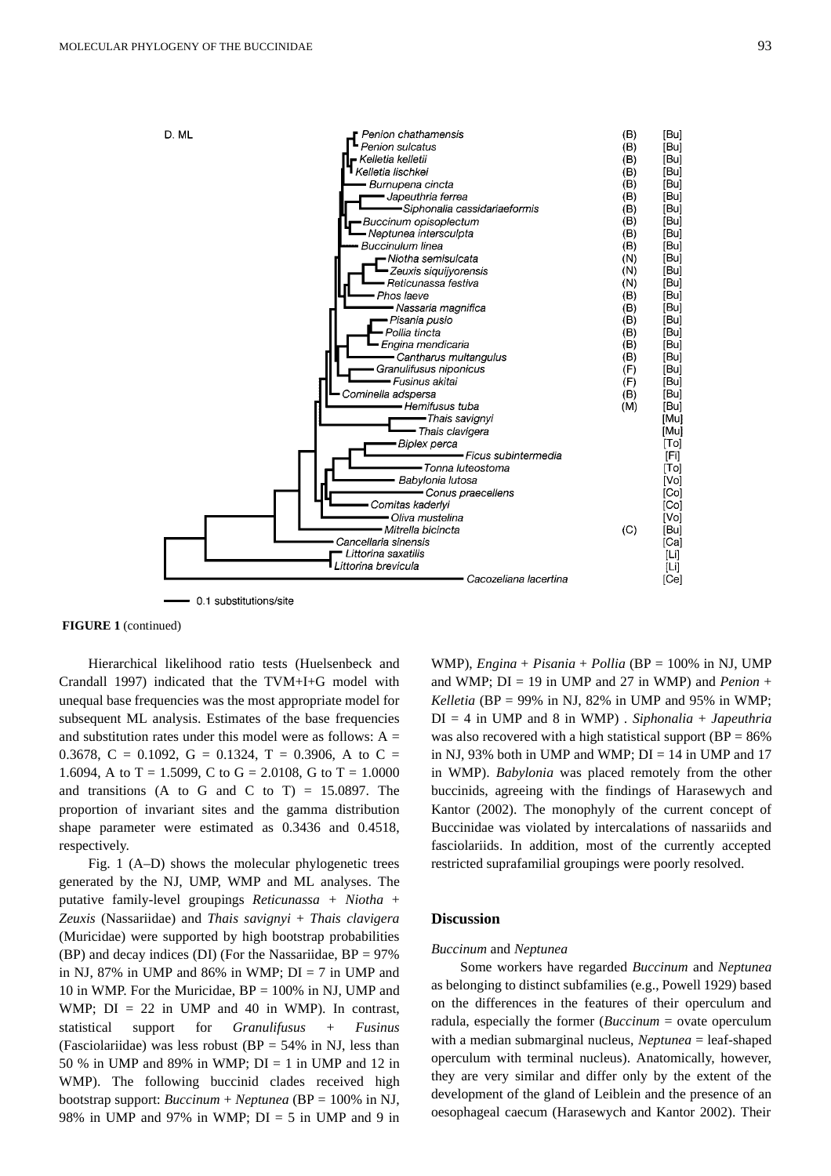

- 0.1 substitutions/site

### **FIGURE 1** (continued)

Hierarchical likelihood ratio tests (Huelsenbeck and Crandall 1997) indicated that the TVM+I+G model with unequal base frequencies was the most appropriate model for subsequent ML analysis. Estimates of the base frequencies and substitution rates under this model were as follows:  $A =$ 0.3678, C = 0.1092, G = 0.1324, T = 0.3906, A to C = 1.6094, A to T = 1.5099, C to G = 2.0108, G to T = 1.0000 and transitions (A to G and C to T)  $= 15.0897$ . The proportion of invariant sites and the gamma distribution shape parameter were estimated as 0.3436 and 0.4518, respectively.

Fig. 1 (A–D) shows the molecular phylogenetic trees generated by the NJ, UMP, WMP and ML analyses. The putative family-level groupings *Reticunassa + Niotha* + *Zeuxis* (Nassariidae) and *Thais savignyi* + *Thais clavigera* (Muricidae) were supported by high bootstrap probabilities (BP) and decay indices (DI) (For the Nassariidae,  $BP = 97\%$ in NJ, 87% in UMP and 86% in WMP;  $DI = 7$  in UMP and 10 in WMP. For the Muricidae, BP = 100% in NJ, UMP and WMP;  $DI = 22$  in UMP and 40 in WMP). In contrast, statistical support for *Granulifusus* + *Fusinus* (Fasciolariidae) was less robust ( $BP = 54\%$  in NJ, less than 50 % in UMP and 89% in WMP;  $DI = 1$  in UMP and 12 in WMP). The following buccinid clades received high bootstrap support: *Buccinum* + *Neptunea* (BP = 100% in NJ, 98% in UMP and 97% in WMP;  $DI = 5$  in UMP and 9 in WMP), *Engina* + *Pisania* + *Pollia* (BP = 100% in NJ, UMP and WMP;  $DI = 19$  in UMP and 27 in WMP) and *Penion* + *Kelletia* (BP = 99% in NJ, 82% in UMP and 95% in WMP; DI = 4 in UMP and 8 in WMP) . *Siphonalia* + *Japeuthria* was also recovered with a high statistical support ( $BP = 86\%$ ) in NJ, 93% both in UMP and WMP;  $DI = 14$  in UMP and 17 in WMP). *Babylonia* was placed remotely from the other buccinids, agreeing with the findings of Harasewych and Kantor (2002). The monophyly of the current concept of Buccinidae was violated by intercalations of nassariids and fasciolariids. In addition, most of the currently accepted restricted suprafamilial groupings were poorly resolved.

# **Discussion**

# *Buccinum* and *Neptunea*

Some workers have regarded *Buccinum* and *Neptunea* as belonging to distinct subfamilies (e.g., Powell 1929) based on the differences in the features of their operculum and radula, especially the former (*Buccinum* = ovate operculum with a median submarginal nucleus, *Neptunea* = leaf-shaped operculum with terminal nucleus). Anatomically, however, they are very similar and differ only by the extent of the development of the gland of Leiblein and the presence of an oesophageal caecum (Harasewych and Kantor 2002). Their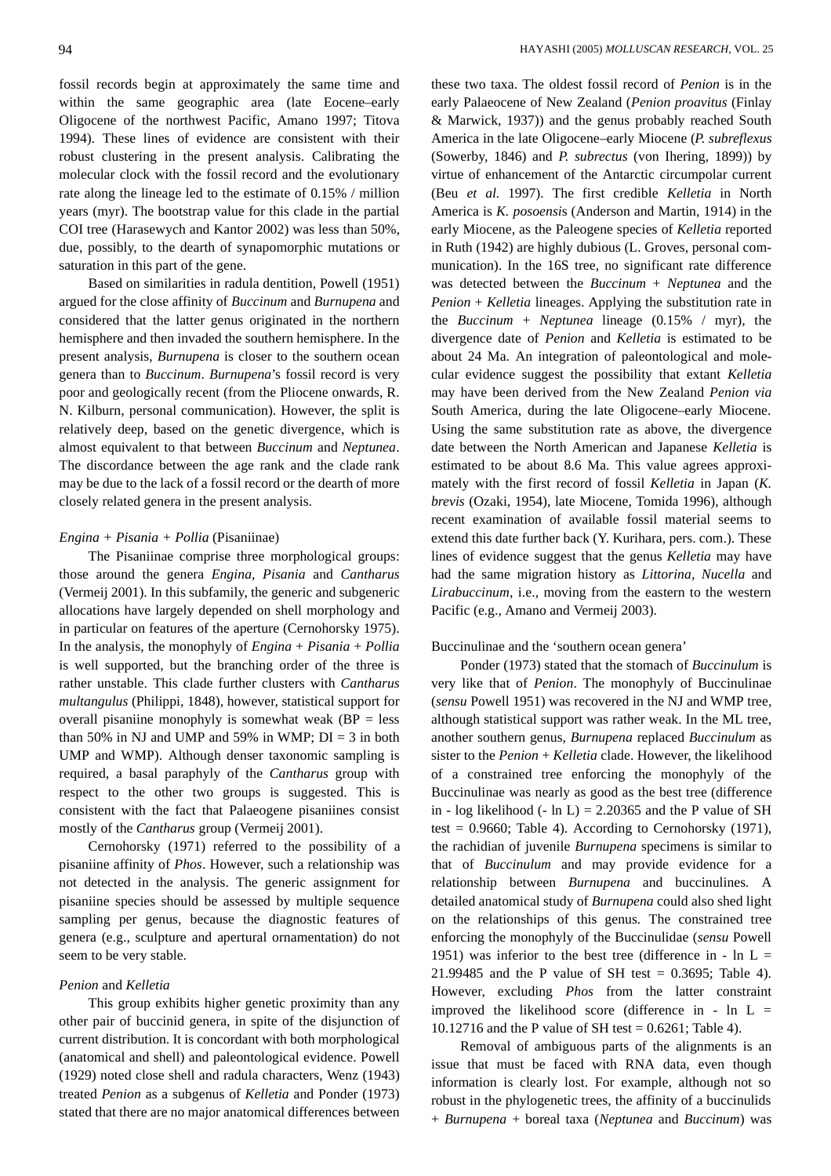fossil records begin at approximately the same time and within the same geographic area (late Eocene–early Oligocene of the northwest Pacific, Amano 1997; Titova 1994). These lines of evidence are consistent with their robust clustering in the present analysis. Calibrating the molecular clock with the fossil record and the evolutionary rate along the lineage led to the estimate of 0.15% / million years (myr). The bootstrap value for this clade in the partial COI tree (Harasewych and Kantor 2002) was less than 50%, due, possibly, to the dearth of synapomorphic mutations or saturation in this part of the gene.

Based on similarities in radula dentition, Powell (1951) argued for the close affinity of *Buccinum* and *Burnupena* and considered that the latter genus originated in the northern hemisphere and then invaded the southern hemisphere. In the present analysis, *Burnupena* is closer to the southern ocean genera than to *Buccinum*. *Burnupena*'s fossil record is very poor and geologically recent (from the Pliocene onwards, R. N. Kilburn, personal communication). However, the split is relatively deep, based on the genetic divergence, which is almost equivalent to that between *Buccinum* and *Neptunea*. The discordance between the age rank and the clade rank may be due to the lack of a fossil record or the dearth of more closely related genera in the present analysis.

### *Engina + Pisania + Pollia* (Pisaniinae)

The Pisaniinae comprise three morphological groups: those around the genera *Engina, Pisania* and *Cantharus* (Vermeij 2001). In this subfamily, the generic and subgeneric allocations have largely depended on shell morphology and in particular on features of the aperture (Cernohorsky 1975). In the analysis, the monophyly of *Engina* + *Pisania* + *Pollia* is well supported, but the branching order of the three is rather unstable. This clade further clusters with *Cantharus multangulus* (Philippi*,* 1848), however, statistical support for overall pisaniine monophyly is somewhat weak ( $BP = less$ ) than 50% in NJ and UMP and 59% in WMP;  $DI = 3$  in both UMP and WMP). Although denser taxonomic sampling is required, a basal paraphyly of the *Cantharus* group with respect to the other two groups is suggested. This is consistent with the fact that Palaeogene pisaniines consist mostly of the *Cantharus* group (Vermeij 2001).

Cernohorsky (1971) referred to the possibility of a pisaniine affinity of *Phos*. However, such a relationship was not detected in the analysis. The generic assignment for pisaniine species should be assessed by multiple sequence sampling per genus, because the diagnostic features of genera (e.g., sculpture and apertural ornamentation) do not seem to be very stable.

# *Penion* and *Kelletia*

This group exhibits higher genetic proximity than any other pair of buccinid genera, in spite of the disjunction of current distribution. It is concordant with both morphological (anatomical and shell) and paleontological evidence. Powell (1929) noted close shell and radula characters, Wenz (1943) treated *Penion* as a subgenus of *Kelletia* and Ponder (1973) stated that there are no major anatomical differences between these two taxa. The oldest fossil record of *Penion* is in the early Palaeocene of New Zealand (*Penion proavitus* (Finlay & Marwick, 1937)) and the genus probably reached South America in the late Oligocene–early Miocene (*P. subreflexus* (Sowerby, 1846) and *P. subrectus* (von Ihering, 1899)) by virtue of enhancement of the Antarctic circumpolar current (Beu *et al.* 1997). The first credible *Kelletia* in North America is *K. posoensi*s (Anderson and Martin, 1914) in the early Miocene, as the Paleogene species of *Kelletia* reported in Ruth (1942) are highly dubious (L. Groves, personal communication). In the 16S tree, no significant rate difference was detected between the *Buccinum* + *Neptunea* and the *Penion* + *Kelletia* lineages. Applying the substitution rate in the *Buccinum* + *Neptunea* lineage (0.15% / myr), the divergence date of *Penion* and *Kelletia* is estimated to be about 24 Ma. An integration of paleontological and molecular evidence suggest the possibility that extant *Kelletia* may have been derived from the New Zealand *Penion via* South America, during the late Oligocene–early Miocene. Using the same substitution rate as above, the divergence date between the North American and Japanese *Kelletia* is estimated to be about 8.6 Ma. This value agrees approximately with the first record of fossil *Kelletia* in Japan (*K. brevis* (Ozaki, 1954), late Miocene, Tomida 1996), although recent examination of available fossil material seems to extend this date further back (Y. Kurihara, pers. com.). These lines of evidence suggest that the genus *Kelletia* may have had the same migration history as *Littorina, Nucella* and *Lirabuccinum*, i.e., moving from the eastern to the western Pacific (e.g., Amano and Vermeij 2003).

#### Buccinulinae and the 'southern ocean genera'

Ponder (1973) stated that the stomach of *Buccinulum* is very like that of *Penion*. The monophyly of Buccinulinae (*sensu* Powell 1951) was recovered in the NJ and WMP tree, although statistical support was rather weak. In the ML tree, another southern genus, *Burnupena* replaced *Buccinulum* as sister to the *Penion* + *Kelletia* clade. However, the likelihood of a constrained tree enforcing the monophyly of the Buccinulinae was nearly as good as the best tree (difference in - log likelihood (- ln L) = 2.20365 and the P value of SH test =  $0.9660$ ; Table 4). According to Cernohorsky (1971), the rachidian of juvenile *Burnupena* specimens is similar to that of *Buccinulum* and may provide evidence for a relationship between *Burnupena* and buccinulines*.* A detailed anatomical study of *Burnupena* could also shed light on the relationships of this genus*.* The constrained tree enforcing the monophyly of the Buccinulidae (*sensu* Powell 1951) was inferior to the best tree (difference in - ln  $L =$ 21.99485 and the P value of SH test = 0.3695; Table 4). However, excluding *Phos* from the latter constraint improved the likelihood score (difference in - ln  $L =$ 10.12716 and the P value of SH test = 0.6261; Table 4).

Removal of ambiguous parts of the alignments is an issue that must be faced with RNA data, even though information is clearly lost. For example, although not so robust in the phylogenetic trees, the affinity of a buccinulids + *Burnupena* + boreal taxa (*Neptunea* and *Buccinum*) was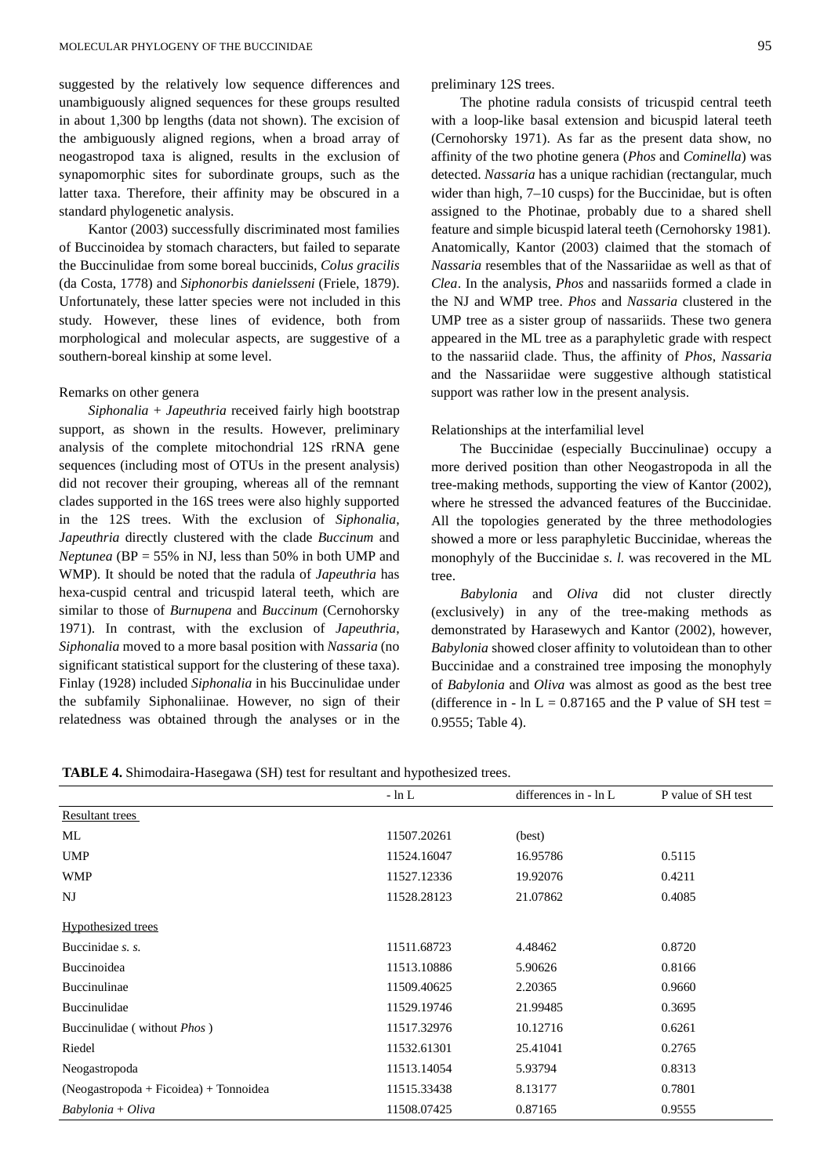suggested by the relatively low sequence differences and unambiguously aligned sequences for these groups resulted in about 1,300 bp lengths (data not shown). The excision of the ambiguously aligned regions, when a broad array of neogastropod taxa is aligned, results in the exclusion of synapomorphic sites for subordinate groups, such as the latter taxa. Therefore, their affinity may be obscured in a standard phylogenetic analysis.

Kantor (2003) successfully discriminated most families of Buccinoidea by stomach characters, but failed to separate the Buccinulidae from some boreal buccinids, *Colus gracilis* (da Costa, 1778) and *Siphonorbis danielsseni* (Friele, 1879). Unfortunately, these latter species were not included in this study. However, these lines of evidence, both from morphological and molecular aspects, are suggestive of a southern-boreal kinship at some level.

# Remarks on other genera

*Siphonalia* + *Japeuthria* received fairly high bootstrap support, as shown in the results. However, preliminary analysis of the complete mitochondrial 12S rRNA gene sequences (including most of OTUs in the present analysis) did not recover their grouping, whereas all of the remnant clades supported in the 16S trees were also highly supported in the 12S trees. With the exclusion of *Siphonalia*, *Japeuthria* directly clustered with the clade *Buccinum* and *Neptunea* (BP = 55% in NJ, less than 50% in both UMP and WMP). It should be noted that the radula of *Japeuthria* has hexa-cuspid central and tricuspid lateral teeth, which are similar to those of *Burnupena* and *Buccinum* (Cernohorsky 1971). In contrast, with the exclusion of *Japeuthria*, *Siphonalia* moved to a more basal position with *Nassaria* (no significant statistical support for the clustering of these taxa). Finlay (1928) included *Siphonalia* in his Buccinulidae under the subfamily Siphonaliinae. However, no sign of their relatedness was obtained through the analyses or in the preliminary 12S trees.

The photine radula consists of tricuspid central teeth with a loop-like basal extension and bicuspid lateral teeth (Cernohorsky 1971). As far as the present data show, no affinity of the two photine genera (*Phos* and *Cominella*) was detected. *Nassaria* has a unique rachidian (rectangular, much wider than high, 7–10 cusps) for the Buccinidae, but is often assigned to the Photinae, probably due to a shared shell feature and simple bicuspid lateral teeth (Cernohorsky 1981). Anatomically, Kantor (2003) claimed that the stomach of *Nassaria* resembles that of the Nassariidae as well as that of *Clea*. In the analysis, *Phos* and nassariids formed a clade in the NJ and WMP tree. *Phos* and *Nassaria* clustered in the UMP tree as a sister group of nassariids. These two genera appeared in the ML tree as a paraphyletic grade with respect to the nassariid clade. Thus, the affinity of *Phos*, *Nassaria* and the Nassariidae were suggestive although statistical support was rather low in the present analysis.

#### Relationships at the interfamilial level

The Buccinidae (especially Buccinulinae) occupy a more derived position than other Neogastropoda in all the tree-making methods, supporting the view of Kantor (2002), where he stressed the advanced features of the Buccinidae. All the topologies generated by the three methodologies showed a more or less paraphyletic Buccinidae, whereas the monophyly of the Buccinidae *s. l.* was recovered in the ML tree.

*Babylonia* and *Oliva* did not cluster directly (exclusively) in any of the tree-making methods as demonstrated by Harasewych and Kantor (2002), however, *Babylonia* showed closer affinity to volutoidean than to other Buccinidae and a constrained tree imposing the monophyly of *Babylonia* and *Oliva* was almost as good as the best tree (difference in - ln L =  $0.87165$  and the P value of SH test = 0.9555; Table 4).

| TABLE 4. Shimodaira-Hasegawa (SH) test for resultant and hypothesized trees. |  |  |  |  |
|------------------------------------------------------------------------------|--|--|--|--|
|                                                                              |  |  |  |  |

|                                          | $- \ln L$   | differences in - ln L | P value of SH test |
|------------------------------------------|-------------|-----------------------|--------------------|
| Resultant trees                          |             |                       |                    |
| ML                                       | 11507.20261 | (best)                |                    |
| <b>UMP</b>                               | 11524.16047 | 16.95786              | 0.5115             |
| <b>WMP</b>                               | 11527.12336 | 19.92076              | 0.4211             |
| NJ                                       | 11528.28123 | 21.07862              | 0.4085             |
| <b>Hypothesized trees</b>                |             |                       |                    |
| Buccinidae s. s.                         | 11511.68723 | 4.48462               | 0.8720             |
| Buccinoidea                              | 11513.10886 | 5.90626               | 0.8166             |
| Buccinulinae                             | 11509.40625 | 2.20365               | 0.9660             |
| Buccinulidae                             | 11529.19746 | 21.99485              | 0.3695             |
| Buccinulidae (without <i>Phos</i> )      | 11517.32976 | 10.12716              | 0.6261             |
| Riedel                                   | 11532.61301 | 25.41041              | 0.2765             |
| Neogastropoda                            | 11513.14054 | 5.93794               | 0.8313             |
| $(Neogastropoda + Ficoidea) + Tonnoidea$ | 11515.33438 | 8.13177               | 0.7801             |
| $Bab$ ylonia + Oliva                     | 11508.07425 | 0.87165               | 0.9555             |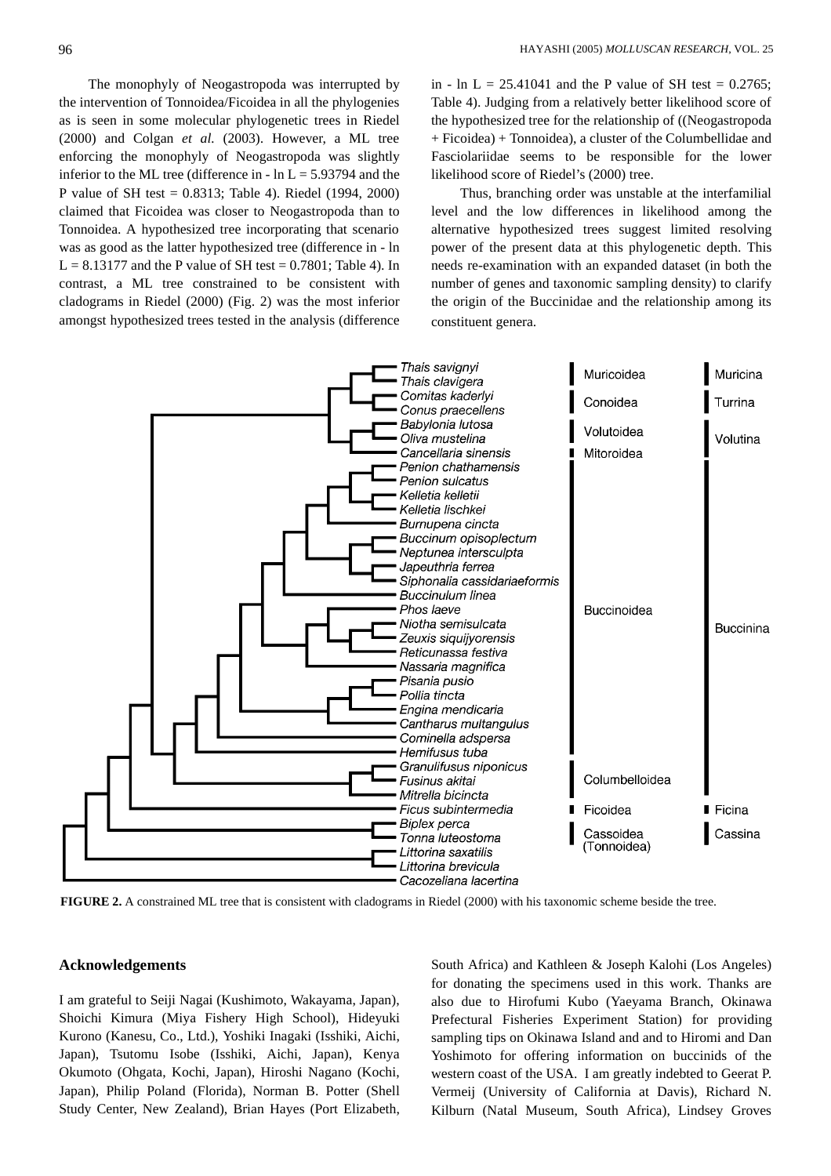The monophyly of Neogastropoda was interrupted by the intervention of Tonnoidea/Ficoidea in all the phylogenies as is seen in some molecular phylogenetic trees in Riedel (2000) and Colgan *et al.* (2003). However, a ML tree enforcing the monophyly of Neogastropoda was slightly inferior to the ML tree (difference in -  $\ln L = 5.93794$  and the P value of SH test = 0.8313; Table 4). Riedel (1994, 2000) claimed that Ficoidea was closer to Neogastropoda than to Tonnoidea. A hypothesized tree incorporating that scenario was as good as the latter hypothesized tree (difference in - ln  $L = 8.13177$  and the P value of SH test = 0.7801; Table 4). In contrast, a ML tree constrained to be consistent with cladograms in Riedel (2000) (Fig. 2) was the most inferior amongst hypothesized trees tested in the analysis (difference in - ln L = 25.41041 and the P value of SH test =  $0.2765$ ; Table 4). Judging from a relatively better likelihood score of the hypothesized tree for the relationship of ((Neogastropoda + Ficoidea) + Tonnoidea), a cluster of the Columbellidae and Fasciolariidae seems to be responsible for the lower likelihood score of Riedel's (2000) tree.

Thus, branching order was unstable at the interfamilial level and the low differences in likelihood among the alternative hypothesized trees suggest limited resolving power of the present data at this phylogenetic depth. This needs re-examination with an expanded dataset (in both the number of genes and taxonomic sampling density) to clarify the origin of the Buccinidae and the relationship among its constituent genera.



**FIGURE 2.** A constrained ML tree that is consistent with cladograms in Riedel (2000) with his taxonomic scheme beside the tree.

#### **Acknowledgements**

I am grateful to Seiji Nagai (Kushimoto, Wakayama, Japan), Shoichi Kimura (Miya Fishery High School), Hideyuki Kurono (Kanesu, Co., Ltd.), Yoshiki Inagaki (Isshiki, Aichi, Japan), Tsutomu Isobe (Isshiki, Aichi, Japan), Kenya Okumoto (Ohgata, Kochi, Japan), Hiroshi Nagano (Kochi, Japan), Philip Poland (Florida), Norman B. Potter (Shell Study Center, New Zealand), Brian Hayes (Port Elizabeth, South Africa) and Kathleen & Joseph Kalohi (Los Angeles) for donating the specimens used in this work. Thanks are also due to Hirofumi Kubo (Yaeyama Branch, Okinawa Prefectural Fisheries Experiment Station) for providing sampling tips on Okinawa Island and and to Hiromi and Dan Yoshimoto for offering information on buccinids of the western coast of the USA. I am greatly indebted to Geerat P. Vermeij (University of California at Davis), Richard N. Kilburn (Natal Museum, South Africa), Lindsey Groves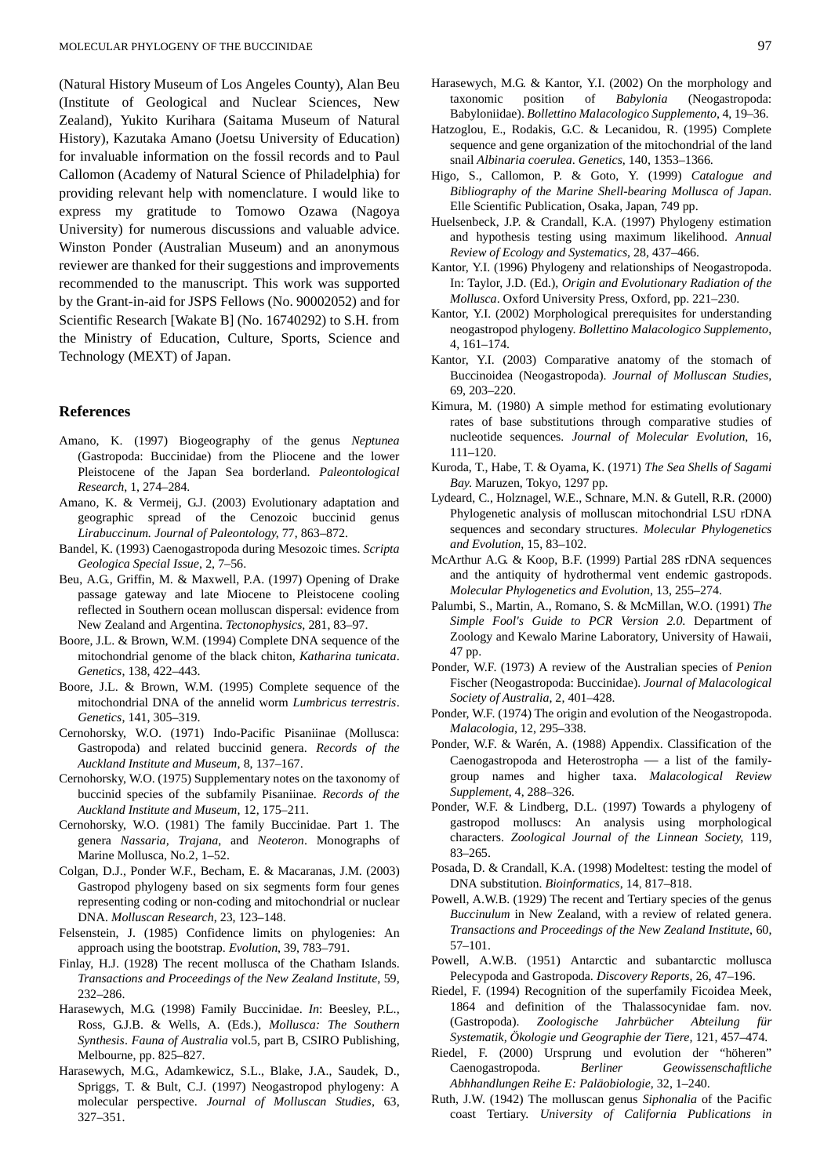(Natural History Museum of Los Angeles County), Alan Beu (Institute of Geological and Nuclear Sciences, New Zealand), Yukito Kurihara (Saitama Museum of Natural History), Kazutaka Amano (Joetsu University of Education) for invaluable information on the fossil records and to Paul Callomon (Academy of Natural Science of Philadelphia) for providing relevant help with nomenclature. I would like to express my gratitude to Tomowo Ozawa (Nagoya University) for numerous discussions and valuable advice. Winston Ponder (Australian Museum) and an anonymous reviewer are thanked for their suggestions and improvements recommended to the manuscript. This work was supported by the Grant-in-aid for JSPS Fellows (No. 90002052) and for Scientific Research [Wakate B] (No. 16740292) to S.H. from the Ministry of Education, Culture, Sports, Science and Technology (MEXT) of Japan.

#### **References**

- Amano, K. (1997) Biogeography of the genus *Neptunea* (Gastropoda: Buccinidae) from the Pliocene and the lower Pleistocene of the Japan Sea borderland. *Paleontological Research*, 1, 274–284.
- Amano, K. & Vermeij, G.J. (2003) Evolutionary adaptation and geographic spread of the Cenozoic buccinid genus *Lirabuccinum. Journal of Paleontology*, 77, 863–872.
- Bandel, K. (1993) Caenogastropoda during Mesozoic times. *Scripta Geologica Special Issue*, 2, 7–56.
- Beu, A.G., Griffin, M. & Maxwell, P.A. (1997) Opening of Drake passage gateway and late Miocene to Pleistocene cooling reflected in Southern ocean molluscan dispersal: evidence from New Zealand and Argentina. *Tectonophysics*, 281, 83–97.
- Boore, J.L. & Brown, W.M. (1994) Complete DNA sequence of the mitochondrial genome of the black chiton, *Katharina tunicata*. *Genetics*, 138, 422–443.
- Boore, J.L. & Brown, W.M. (1995) Complete sequence of the mitochondrial DNA of the annelid worm *Lumbricus terrestris*. *Genetics*, 141, 305–319.
- Cernohorsky, W.O. (1971) Indo-Pacific Pisaniinae (Mollusca: Gastropoda) and related buccinid genera. *Records of the Auckland Institute and Museum*, 8, 137–167.
- Cernohorsky, W.O. (1975) Supplementary notes on the taxonomy of buccinid species of the subfamily Pisaniinae. *Records of the Auckland Institute and Museum*, 12, 175–211.
- Cernohorsky, W.O. (1981) The family Buccinidae. Part 1. The genera *Nassaria, Trajana*, and *Neoteron*. Monographs of Marine Mollusca, No.2, 1–52.
- Colgan, D.J., Ponder W.F., Becham, E. & Macaranas, J.M. (2003) Gastropod phylogeny based on six segments form four genes representing coding or non-coding and mitochondrial or nuclear DNA. *Molluscan Research*, 23, 123–148.
- Felsenstein, J. (1985) Confidence limits on phylogenies: An approach using the bootstrap. *Evolution*, 39, 783–791.
- Finlay, H.J. (1928) The recent mollusca of the Chatham Islands. *Transactions and Proceedings of the New Zealand Institute*, 59, 232–286.
- Harasewych, M.G. (1998) Family Buccinidae. *In*: Beesley, P.L., Ross, G.J.B. & Wells, A. (Eds.), *Mollusca: The Southern Synthesis*. *Fauna of Australia* vol.5, part B*,* CSIRO Publishing, Melbourne, pp. 825–827.
- Harasewych, M.G., Adamkewicz, S.L., Blake, J.A., Saudek, D., Spriggs, T. & Bult, C.J. (1997) Neogastropod phylogeny: A molecular perspective. *Journal of Molluscan Studies*, 63, 327–351.
- Harasewych, M.G. & Kantor, Y.I. (2002) On the morphology and taxonomic position of *Babylonia* (Neogastropoda: Babyloniidae). *Bollettino Malacologico Supplemento*, 4, 19–36.
- Hatzoglou, E., Rodakis, G.C. & Lecanidou, R. (1995) Complete sequence and gene organization of the mitochondrial of the land snail *Albinaria coerulea*. *Genetics*, 140, 1353–1366.
- Higo, S., Callomon, P. & Goto, Y. (1999) *Catalogue and Bibliography of the Marine Shell-bearing Mollusca of Japan*. Elle Scientific Publication, Osaka, Japan, 749 pp.
- Huelsenbeck, J.P. & Crandall, K.A. (1997) Phylogeny estimation and hypothesis testing using maximum likelihood. *Annual Review of Ecology and Systematics*, 28, 437–466.
- Kantor, Y.I. (1996) Phylogeny and relationships of Neogastropoda. In: Taylor, J.D. (Ed.), *Origin and Evolutionary Radiation of the Mollusca*. Oxford University Press, Oxford, pp. 221–230.
- Kantor, Y.I. (2002) Morphological prerequisites for understanding neogastropod phylogeny. *Bollettino Malacologico Supplemento*, 4, 161–174.
- Kantor, Y.I. (2003) Comparative anatomy of the stomach of Buccinoidea (Neogastropoda). *Journal of Molluscan Studies*, 69, 203–220.
- Kimura, M. (1980) A simple method for estimating evolutionary rates of base substitutions through comparative studies of nucleotide sequences. *Journal of Molecular Evolution*, 16, 111–120.
- Kuroda, T., Habe, T. & Oyama, K. (1971) *The Sea Shells of Sagami Bay*. Maruzen, Tokyo, 1297 pp.
- Lydeard, C., Holznagel, W.E., Schnare, M.N. & Gutell, R.R. (2000) Phylogenetic analysis of molluscan mitochondrial LSU rDNA sequences and secondary structures. *Molecular Phylogenetics and Evolution*, 15, 83–102.
- McArthur A.G. & Koop, B.F. (1999) Partial 28S rDNA sequences and the antiquity of hydrothermal vent endemic gastropods. *Molecular Phylogenetics and Evolution*, 13, 255–274.
- Palumbi, S., Martin, A., Romano, S. & McMillan, W.O. (1991) *The Simple Fool's Guide to PCR Version 2.0*. Department of Zoology and Kewalo Marine Laboratory, University of Hawaii, 47 pp.
- Ponder, W.F. (1973) A review of the Australian species of *Penion* Fischer (Neogastropoda: Buccinidae). *Journal of Malacological Society of Australia*, 2, 401–428.
- Ponder, W.F. (1974) The origin and evolution of the Neogastropoda. *Malacologia*, 12, 295–338.
- Ponder, W.F. & Warén, A. (1988) Appendix. Classification of the Caenogastropoda and Heterostropha — a list of the familygroup names and higher taxa. *Malacological Review Supplement*, 4, 288–326.
- Ponder, W.F. & Lindberg, D.L. (1997) Towards a phylogeny of gastropod molluscs: An analysis using morphological characters. *Zoological Journal of the Linnean Society*, 119, 83–265.
- Posada, D. & Crandall, K.A. (1998) Modeltest: testing the model of DNA substitution. *Bioinformatics*, 14, 817–818.
- Powell, A.W.B. (1929) The recent and Tertiary species of the genus *Buccinulum* in New Zealand, with a review of related genera. *Transactions and Proceedings of the New Zealand Institute*, 60, 57–101.
- Powell, A.W.B. (1951) Antarctic and subantarctic mollusca Pelecypoda and Gastropoda. *Discovery Reports*, 26, 47–196.
- Riedel, F. (1994) Recognition of the superfamily Ficoidea Meek, 1864 and definition of the Thalassocynidae fam. nov. (Gastropoda). *Zoologische Jahrbücher Abteilung für Systematik, Ökologie und Geographie der Tiere,* 121, 457–474.
- Riedel, F. (2000) Ursprung und evolution der "höheren" Caenogastropoda. *Berliner Geowissenschaftliche Abhhandlungen Reihe E: Paläobiologie*, 32, 1–240.
- Ruth, J.W. (1942) The molluscan genus *Siphonalia* of the Pacific coast Tertiary. *University of California Publications in*